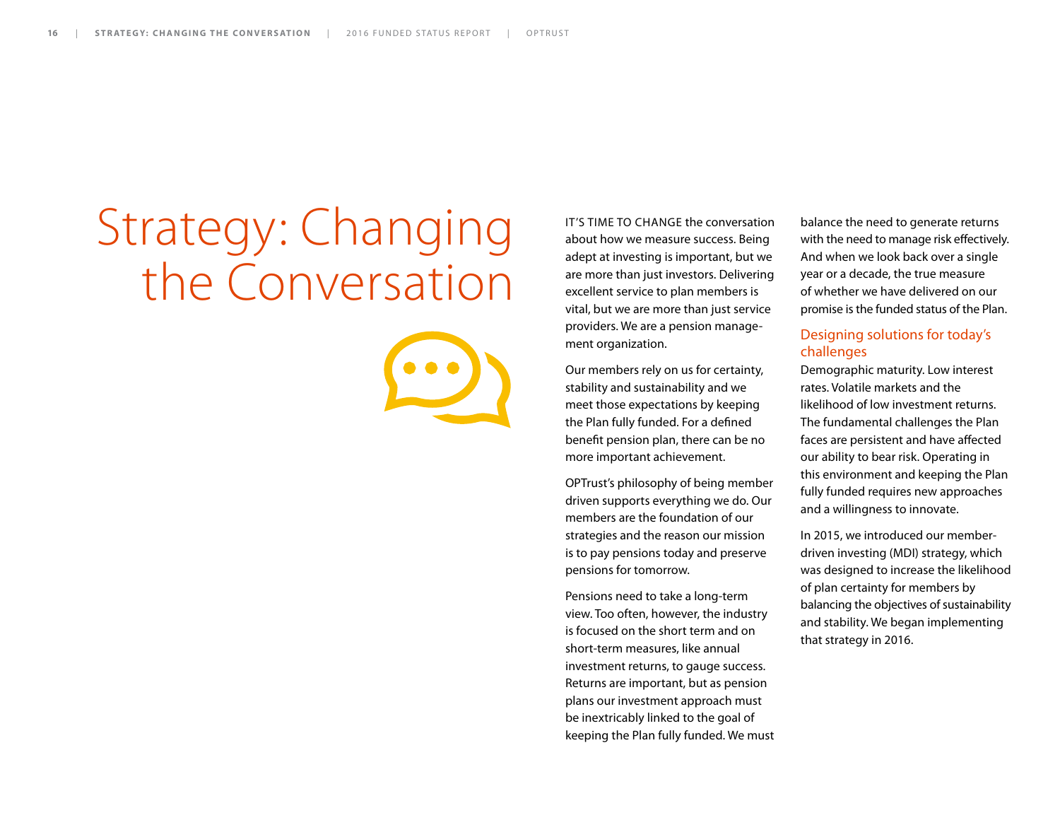# Strategy: Changing the Conversation



IT'S TIME TO CHANGE the conversation about how we measure success. Being adept at investing is important, but we are more than just investors. Delivering excellent service to plan members is vital, but we are more than just service providers. We are a pension management organization.

Our members rely on us for certainty, stability and sustainability and we meet those expectations by keeping the Plan fully funded. For a defined benefit pension plan, there can be no more important achievement.

OPTrust's philosophy of being member driven supports everything we do. Our members are the foundation of our strategies and the reason our mission is to pay pensions today and preserve pensions for tomorrow.

Pensions need to take a long-term view. Too often, however, the industry is focused on the short term and on short-term measures, like annual investment returns, to gauge success. Returns are important, but as pension plans our investment approach must be inextricably linked to the goal of keeping the Plan fully funded. We must balance the need to generate returns with the need to manage risk effectively. And when we look back over a single year or a decade, the true measure of whether we have delivered on our promise is the funded status of the Plan.

#### Designing solutions for today's challenges

Demographic maturity. Low interest rates. Volatile markets and the likelihood of low investment returns. The fundamental challenges the Plan faces are persistent and have affected our ability to bear risk. Operating in this environment and keeping the Plan fully funded requires new approaches and a willingness to innovate.

In 2015, we introduced our memberdriven investing (MDI) strategy, which was designed to increase the likelihood of plan certainty for members by balancing the objectives of sustainability and stability. We began implementing that strategy in 2016.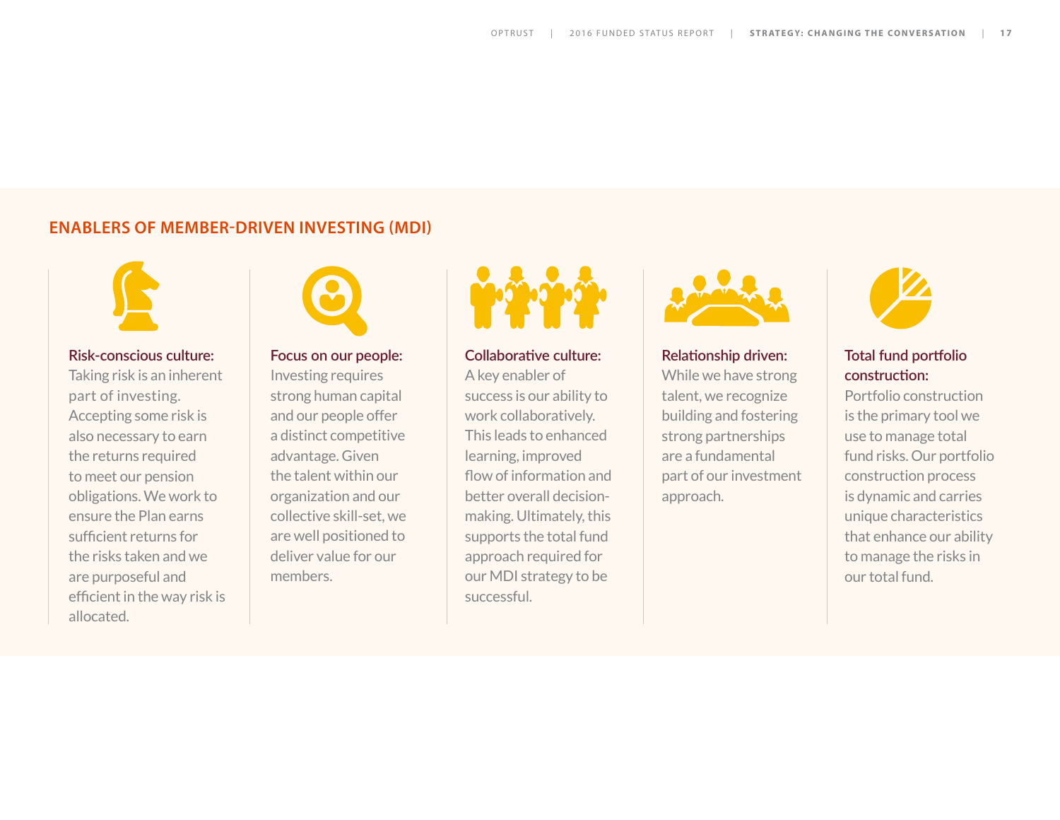#### **ENABLERS OF MEMBER-DRIVEN INVESTING (MDI)**



#### **Risk-conscious culture:**

Taking risk is an inherent part of investing. Accepting some risk is also necessary to earn the returns required to meet our pension obligations. We work to ensure the Plan earns sufficient returns for the risks taken and we are purposeful and efficient in the way risk is allocated.



#### **Focus on our people:**

Investing requires strong human capital and our people offer a distinct competitive advantage. Given the talent within our organization and our collective skill-set, we are well positioned to deliver value for our members.



**Collaborative culture:** 

A key enabler of success is our ability to work collaboratively. This leads to enhanced learning, improved flow of information and better overall decisionmaking. Ultimately, this supports the total fund approach required for our MDI strategy to be successful.



**Relationship driven:**  While we have strong talent, we recognize building and fostering strong partnerships are a fundamental part of our investment approach.



#### **Total fund portfolio construction:**

Portfolio construction is the primary tool we use to manage total fund risks. Our portfolio construction process is dynamic and carries unique characteristics that enhance our ability to manage the risks in our total fund.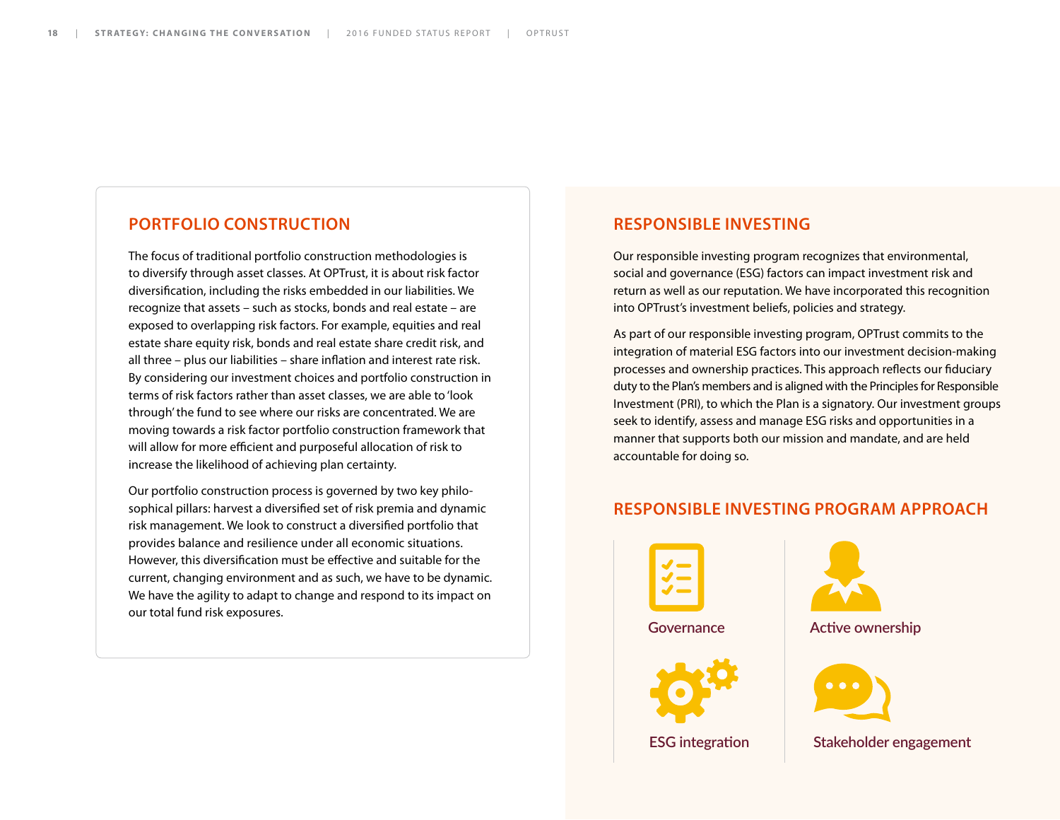#### **PORTFOLIO CONSTRUCTION**

The focus of traditional portfolio construction methodologies is to diversify through asset classes. At OPTrust, it is about risk factor diversification, including the risks embedded in our liabilities. We recognize that assets – such as stocks, bonds and real estate – are exposed to overlapping risk factors. For example, equities and real estate share equity risk, bonds and real estate share credit risk, and all three – plus our liabilities – share inflation and interest rate risk. By considering our investment choices and portfolio construction in terms of risk factors rather than asset classes, we are able to 'look through' the fund to see where our risks are concentrated. We are moving towards a risk factor portfolio construction framework that will allow for more efficient and purposeful allocation of risk to increase the likelihood of achieving plan certainty.

Our portfolio construction process is governed by two key philosophical pillars: harvest a diversified set of risk premia and dynamic risk management. We look to construct a diversified portfolio that provides balance and resilience under all economic situations. However, this diversification must be effective and suitable for the current, changing environment and as such, we have to be dynamic. We have the agility to adapt to change and respond to its impact on our total fund risk exposures.

#### **RESPONSIBLE INVESTING**

Our responsible investing program recognizes that environmental, social and governance (ESG) factors can impact investment risk and return as well as our reputation. We have incorporated this recognition into OPTrust's investment beliefs, policies and strategy.

As part of our responsible investing program, OPTrust commits to the integration of material ESG factors into our investment decision-making processes and ownership practices. This approach reflects our fiduciary duty to the Plan's members and is aligned with the Principles for Responsible Investment (PRI), to which the Plan is a signatory. Our investment groups seek to identify, assess and manage ESG risks and opportunities in a manner that supports both our mission and mandate, and are held accountable for doing so.

#### **RESPONSIBLE INVESTING PROGRAM APPROACH**





**Active ownership**



**Stakeholder engagement**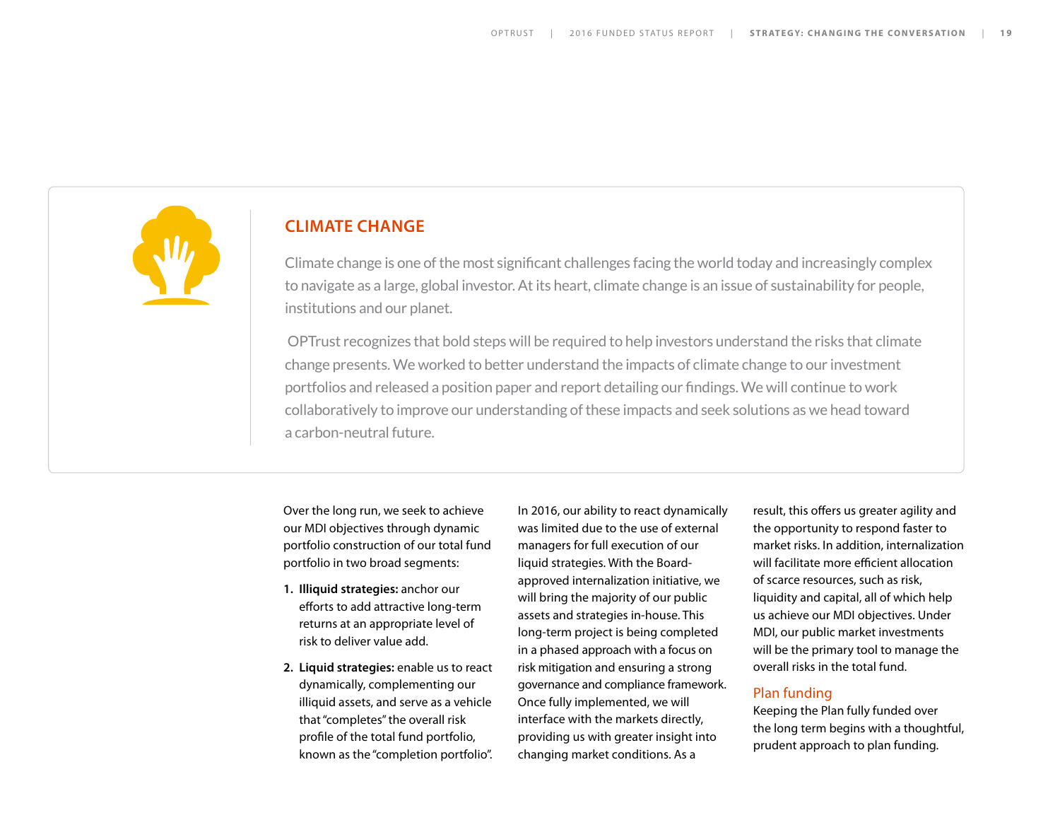

#### **CLIMATE CHANGE**

Climate change is one of the most significant challenges facing the world today and increasingly complex to navigate as a large, global investor. At its heart, climate change is an issue of sustainability for people, institutions and our planet.

 OPTrust recognizes that bold steps will be required to help investors understand the risks that climate change presents. We worked to better understand the impacts of climate change to our investment portfolios and released a position paper and report detailing our findings. We will continue to work collaboratively to improve our understanding of these impacts and seek solutions as we head toward a carbon-neutral future.

Over the long run, we seek to achieve our MDI objectives through dynamic portfolio construction of our total fund portfolio in two broad segments:

- **1. Illiquid strategies:** anchor our efforts to add attractive long-term returns at an appropriate level of risk to deliver value add.
- **2. Liquid strategies:** enable us to react dynamically, complementing our illiquid assets, and serve as a vehicle that "completes" the overall risk profile of the total fund portfolio, known as the "completion portfolio".

In 2016, our ability to react dynamically was limited due to the use of external managers for full execution of our liquid strategies. With the Boardapproved internalization initiative, we will bring the majority of our public assets and strategies in-house. This long-term project is being completed in a phased approach with a focus on risk mitigation and ensuring a strong governance and compliance framework. Once fully implemented, we will interface with the markets directly, providing us with greater insight into changing market conditions. As a

result, this offers us greater agility and the opportunity to respond faster to market risks. In addition, internalization will facilitate more efficient allocation of scarce resources, such as risk, liquidity and capital, all of which help us achieve our MDI objectives. Under MDI, our public market investments will be the primary tool to manage the overall risks in the total fund.

#### Plan funding

Keeping the Plan fully funded over the long term begins with a thoughtful, prudent approach to plan funding.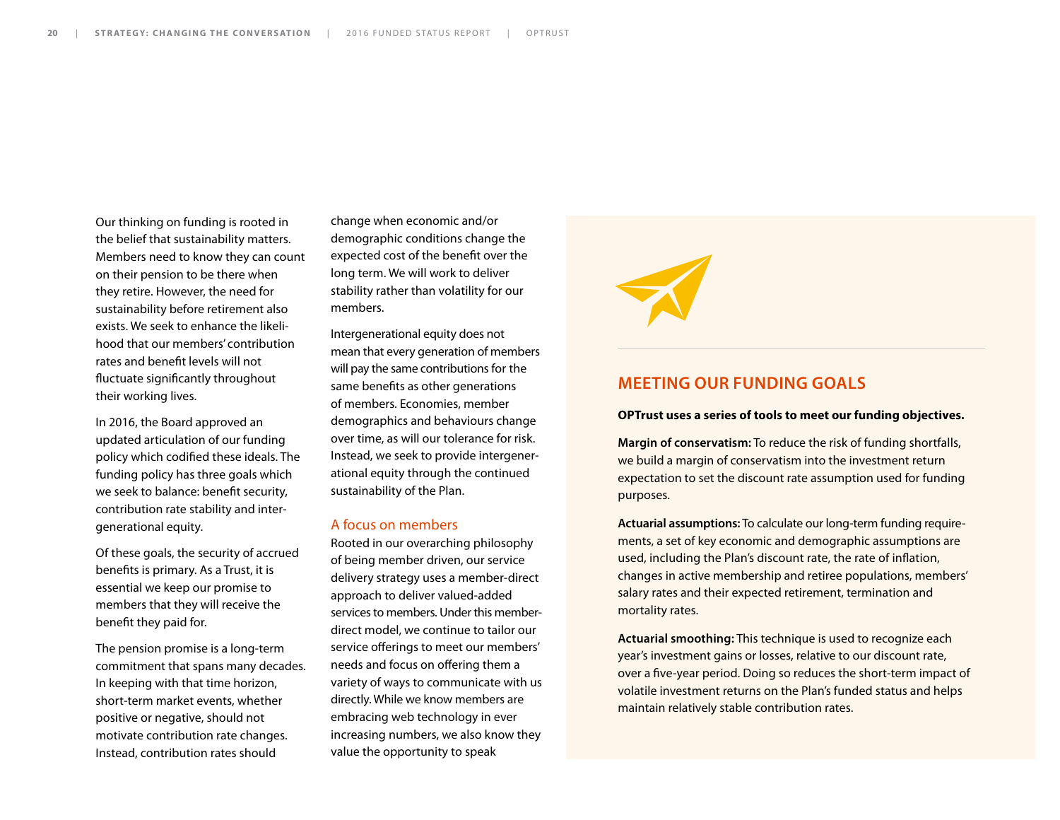Our thinking on funding is rooted in the belief that sustainability matters. Members need to know they can count on their pension to be there when they retire. However, the need for sustainability before retirement also exists. We seek to enhance the likelihood that our members' contribution rates and benefit levels will not fluctuate significantly throughout their working lives.

In 2016, the Board approved an updated articulation of our funding policy which codified these ideals. The funding policy has three goals which we seek to balance: benefit security, contribution rate stability and intergenerational equity.

Of these goals, the security of accrued benefits is primary. As a Trust, it is essential we keep our promise to members that they will receive the benefit they paid for.

The pension promise is a long-term commitment that spans many decades. In keeping with that time horizon, short-term market events, whether positive or negative, should not motivate contribution rate changes. Instead, contribution rates should

change when economic and/or demographic conditions change the expected cost of the benefit over the long term. We will work to deliver stability rather than volatility for our members.

Intergenerational equity does not mean that every generation of members will pay the same contributions for the same benefits as other generations of members. Economies, member demographics and behaviours change over time, as will our tolerance for risk. Instead, we seek to provide intergenerational equity through the continued sustainability of the Plan.

#### A focus on members

Rooted in our overarching philosophy of being member driven, our service delivery strategy uses a member-direct approach to deliver valued-added services to members. Under this memberdirect model, we continue to tailor our service offerings to meet our members' needs and focus on offering them a variety of ways to communicate with us directly. While we know members are embracing web technology in ever increasing numbers, we also know they value the opportunity to speak



#### **MEETING OUR FUNDING GOALS**

#### **OPTrust uses a series of tools to meet our funding objectives.**

**Margin of conservatism:** To reduce the risk of funding shortfalls, we build a margin of conservatism into the investment return expectation to set the discount rate assumption used for funding purposes.

**Actuarial assumptions:** To calculate our long-term funding requirements, a set of key economic and demographic assumptions are used, including the Plan's discount rate, the rate of inflation, changes in active membership and retiree populations, members' salary rates and their expected retirement, termination and mortality rates.

**Actuarial smoothing:** This technique is used to recognize each year's investment gains or losses, relative to our discount rate, over a five-year period. Doing so reduces the short-term impact of volatile investment returns on the Plan's funded status and helps maintain relatively stable contribution rates.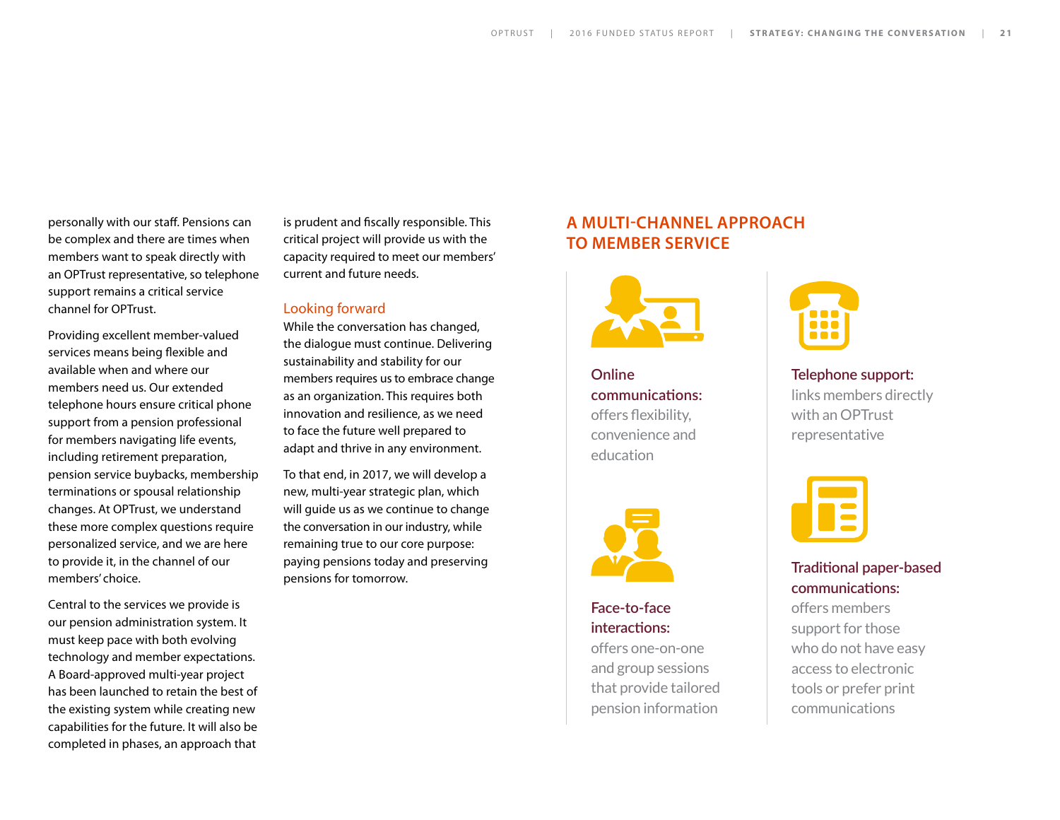personally with our staff. Pensions can be complex and there are times when members want to speak directly with an OPTrust representative, so telephone support remains a critical service channel for OPTrust.

Providing excellent member-valued services means being flexible and available when and where our members need us. Our extended telephone hours ensure critical phone support from a pension professional for members navigating life events, including retirement preparation, pension service buybacks, membership terminations or spousal relationship changes. At OPTrust, we understand these more complex questions require personalized service, and we are here to provide it, in the channel of our members' choice.

Central to the services we provide is our pension administration system. It must keep pace with both evolving technology and member expectations. A Board-approved multi-year project has been launched to retain the best of the existing system while creating new capabilities for the future. It will also be completed in phases, an approach that

is prudent and fiscally responsible. This critical project will provide us with the capacity required to meet our members' current and future needs.

#### Looking forward

While the conversation has changed, the dialogue must continue. Delivering sustainability and stability for our members requires us to embrace change as an organization. This requires both innovation and resilience, as we need to face the future well prepared to adapt and thrive in any environment.

To that end, in 2017, we will develop a new, multi-year strategic plan, which will guide us as we continue to change the conversation in our industry, while remaining true to our core purpose: paying pensions today and preserving pensions for tomorrow.

#### **A MULTI-CHANNEL APPROACH TO MEMBER SERVICE**



**Online communications:** offers flexibility, convenience and education



#### **Face-to-face interactions:**

offers one-on-one and group sessions that provide tailored pension information



**Telephone support:**  links members directly with an OPTrust representative



#### **Traditional paper-based communications:**

offers members support for those who do not have easy access to electronic tools or prefer print communications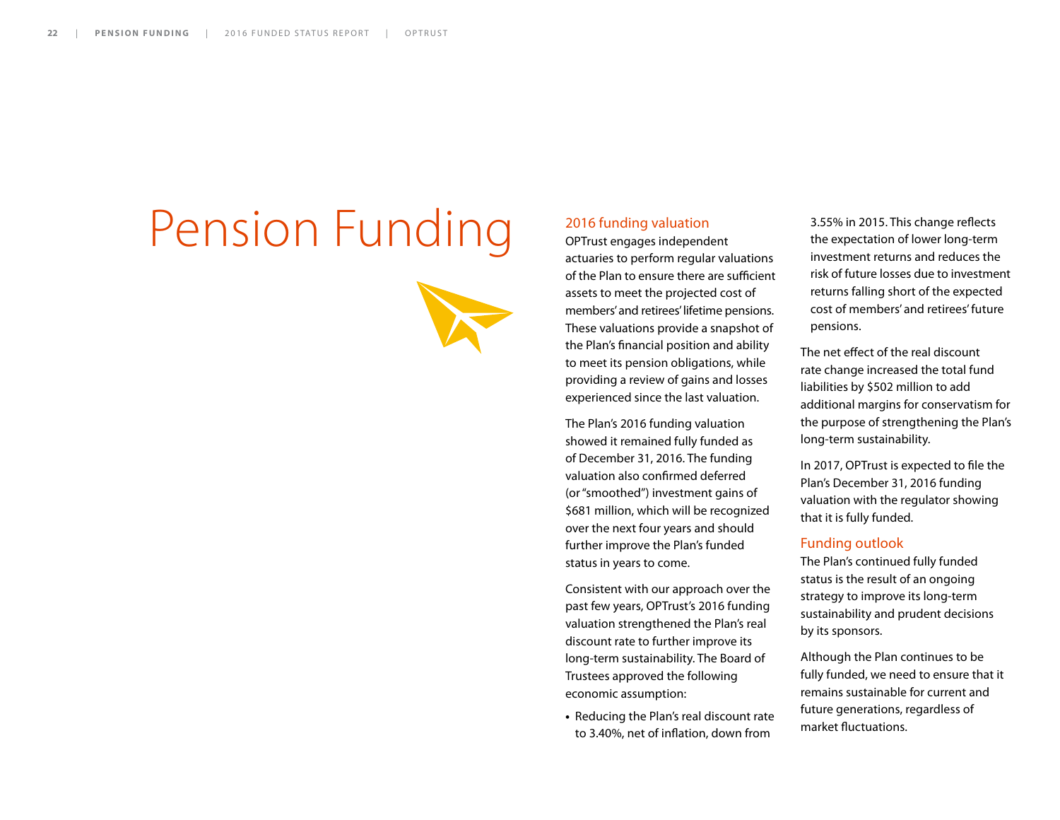# Pension Funding



#### 2016 funding valuation

OPTrust engages independent actuaries to perform regular valuations of the Plan to ensure there are sufficient assets to meet the projected cost of members' and retirees' lifetime pensions. These valuations provide a snapshot of the Plan's financial position and ability to meet its pension obligations, while providing a review of gains and losses experienced since the last valuation.

The Plan's 2016 funding valuation showed it remained fully funded as of December 31, 2016. The funding valuation also confirmed deferred (or "smoothed") investment gains of \$681 million, which will be recognized over the next four years and should further improve the Plan's funded status in years to come.

Consistent with our approach over the past few years, OPTrust's 2016 funding valuation strengthened the Plan's real discount rate to further improve its long-term sustainability. The Board of Trustees approved the following economic assumption:

**•** Reducing the Plan's real discount rate to 3.40%, net of inflation, down from

3.55% in 2015. This change reflects the expectation of lower long-term investment returns and reduces the risk of future losses due to investment returns falling short of the expected cost of members' and retirees' future pensions.

The net effect of the real discount rate change increased the total fund liabilities by \$502 million to add additional margins for conservatism for the purpose of strengthening the Plan's long-term sustainability.

In 2017, OPTrust is expected to file the Plan's December 31, 2016 funding valuation with the regulator showing that it is fully funded.

#### Funding outlook

The Plan's continued fully funded status is the result of an ongoing strategy to improve its long-term sustainability and prudent decisions by its sponsors.

Although the Plan continues to be fully funded, we need to ensure that it remains sustainable for current and future generations, regardless of market fluctuations.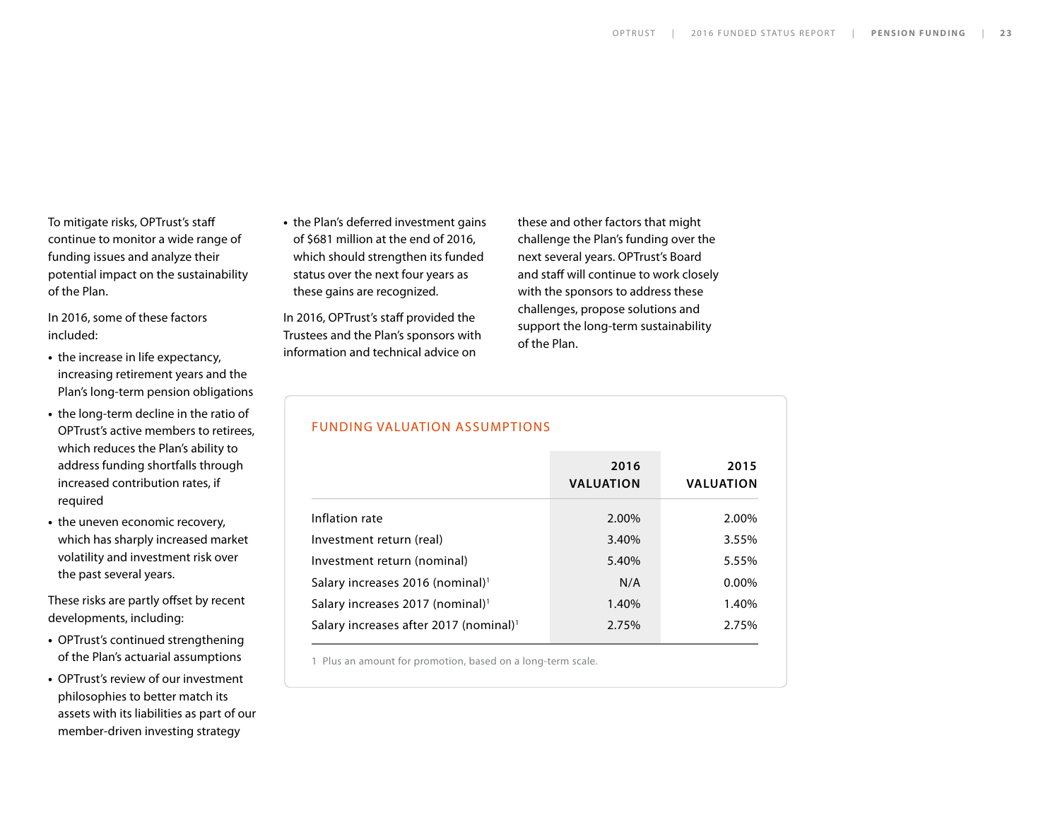To mitigate risks, OPTrust's staff continue to monitor a wide range of funding issues and analyze their potential impact on the sustainability of the Plan.

In 2016, some of these factors included:

- **•** the increase in life expectancy, increasing retirement years and the Plan's long-term pension obligations
- **•** the long-term decline in the ratio of OPTrust's active members to retirees, which reduces the Plan's ability to address funding shortfalls through increased contribution rates, if required
- **•** the uneven economic recovery, which has sharply increased market volatility and investment risk over the past several years.

These risks are partly offset by recent developments, including:

- **•** OPTrust's continued strengthening of the Plan's actuarial assumptions
- **•** OPTrust's review of our investment philosophies to better match its assets with its liabilities as part of our member-driven investing strategy

**•** the Plan's deferred investment gains of \$681 million at the end of 2016, which should strengthen its funded status over the next four years as these gains are recognized.

In 2016, OPTrust's staff provided the Trustees and the Plan's sponsors with information and technical advice on

these and other factors that might challenge the Plan's funding over the next several years. OPTrust's Board and staff will continue to work closely with the sponsors to address these challenges, propose solutions and support the long-term sustainability of the Plan.

#### FUNDING VALUATION ASSUMPTIONS

|                                                    | 2016<br><b>VALUATION</b> | 2015<br><b>VALUATION</b> |  |  |
|----------------------------------------------------|--------------------------|--------------------------|--|--|
| Inflation rate                                     | 2.00%                    | 2.00%                    |  |  |
| Investment return (real)                           | 3.40%                    | 3.55%                    |  |  |
| Investment return (nominal)                        | 5.40%                    | 5.55%                    |  |  |
| Salary increases 2016 (nominal) <sup>1</sup>       | N/A                      | 0.00%                    |  |  |
| Salary increases 2017 (nominal) <sup>1</sup>       | 1.40%                    | 1.40%                    |  |  |
| Salary increases after 2017 (nominal) <sup>1</sup> | 2.75%                    | 2.75%                    |  |  |
|                                                    |                          |                          |  |  |

1 Plus an amount for promotion, based on a long-term scale.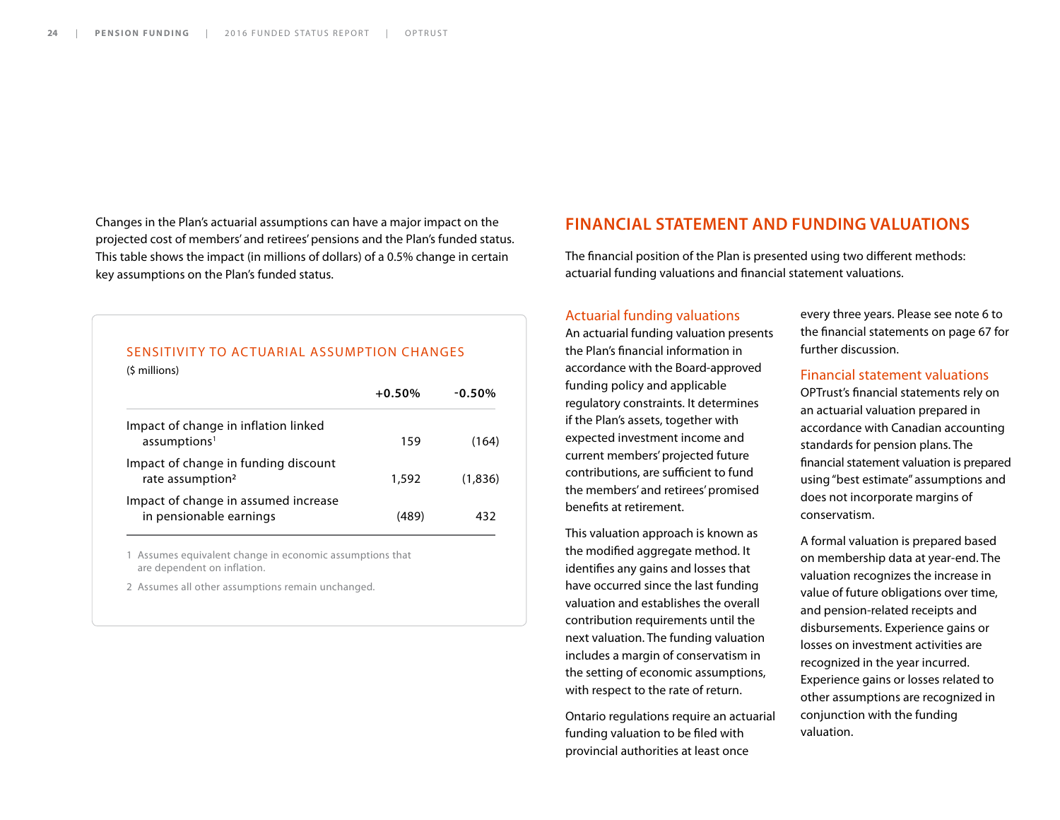Changes in the Plan's actuarial assumptions can have a major impact on the projected cost of members' and retirees' pensions and the Plan's funded status. This table shows the impact (in millions of dollars) of a 0.5% change in certain key assumptions on the Plan's funded status.

#### SENSITIVITY TO ACTUARIAL ASSUMPTION CHANGES

(\$ millions)

|                                                                      | $+0.50\%$ | $-0.50\%$ |
|----------------------------------------------------------------------|-----------|-----------|
| Impact of change in inflation linked<br>assumptions <sup>1</sup>     | 159       | (164)     |
| Impact of change in funding discount<br>rate assumption <sup>2</sup> | 1,592     | (1.836)   |
| Impact of change in assumed increase<br>in pensionable earnings      | (489)     | 432       |

1 Assumes equivalent change in economic assumptions that are dependent on inflation.

2 Assumes all other assumptions remain unchanged.

#### **FINANCIAL STATEMENT AND FUNDING VALUATIONS**

The financial position of the Plan is presented using two different methods: actuarial funding valuations and financial statement valuations.

#### Actuarial funding valuations

An actuarial funding valuation presents the Plan's financial information in accordance with the Board-approved funding policy and applicable regulatory constraints. It determines if the Plan's assets, together with expected investment income and current members' projected future contributions, are sufficient to fund the members' and retirees' promised benefits at retirement.

This valuation approach is known as the modified aggregate method. It identifies any gains and losses that have occurred since the last funding valuation and establishes the overall contribution requirements until the next valuation. The funding valuation includes a margin of conservatism in the setting of economic assumptions, with respect to the rate of return.

Ontario regulations require an actuarial funding valuation to be filed with provincial authorities at least once

every three years. Please see note 6 to the financial statements on page 67 for further discussion.

#### Financial statement valuations

OPTrust's financial statements rely on an actuarial valuation prepared in accordance with Canadian accounting standards for pension plans. The financial statement valuation is prepared using "best estimate" assumptions and does not incorporate margins of conservatism.

A formal valuation is prepared based on membership data at year-end. The valuation recognizes the increase in value of future obligations over time, and pension-related receipts and disbursements. Experience gains or losses on investment activities are recognized in the year incurred. Experience gains or losses related to other assumptions are recognized in conjunction with the funding valuation.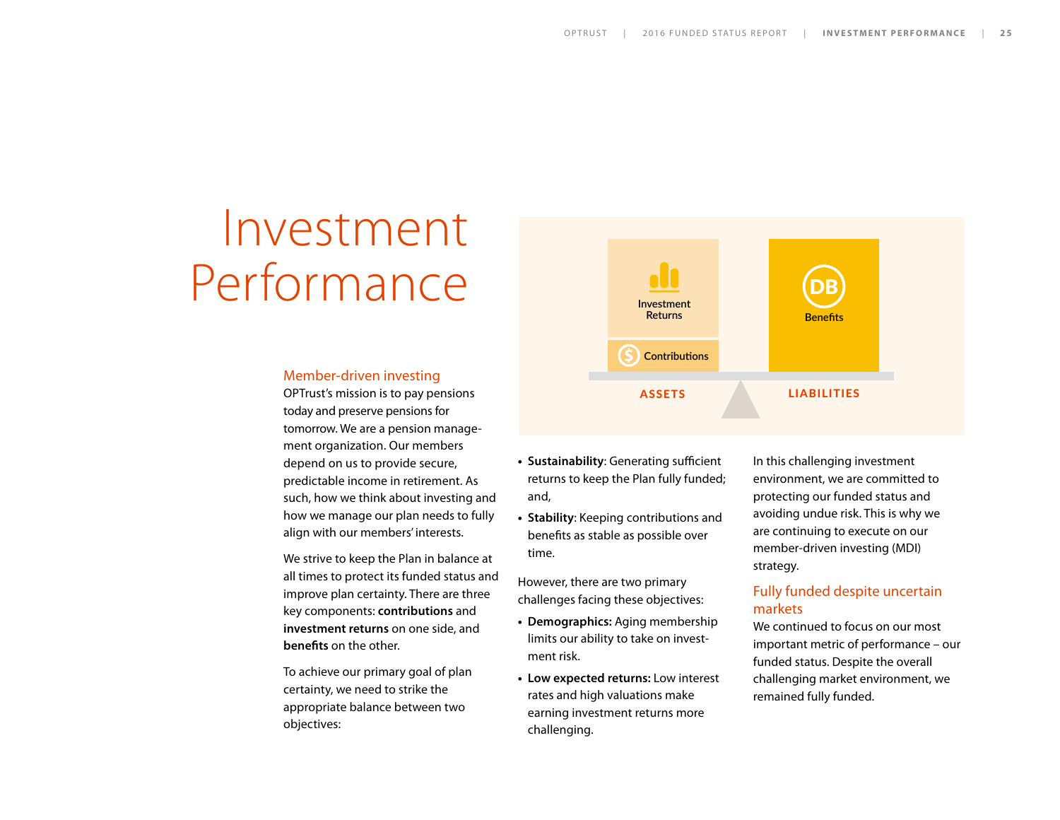## Investment Performance

#### Member-driven investing

OPTrust's mission is to pay pensions today and preserve pensions for tomorrow. We are a pension management organization. Our members depend on us to provide secure, predictable income in retirement. As such, how we think about investing and how we manage our plan needs to fully align with our members' interests.

We strive to keep the Plan in balance at all times to protect its funded status and improve plan certainty. There are three key components: **contributions** and **investment returns** on one side, and **benefits** on the other.

To achieve our primary goal of plan certainty, we need to strike the appropriate balance between two objectives:



- **• Sustainability**: Generating sufficient returns to keep the Plan fully funded; and,
- **• Stability**: Keeping contributions and benefits as stable as possible over time.

However, there are two primary challenges facing these objectives:

- **• Demographics:** Aging membership limits our ability to take on investment risk.
- **• Low expected returns:** Low interest rates and high valuations make earning investment returns more challenging.

In this challenging investment environment, we are committed to protecting our funded status and avoiding undue risk. This is why we are continuing to execute on our member-driven investing (MDI) strategy.

#### Fully funded despite uncertain markets

We continued to focus on our most important metric of performance – our funded status. Despite the overall challenging market environment, we remained fully funded.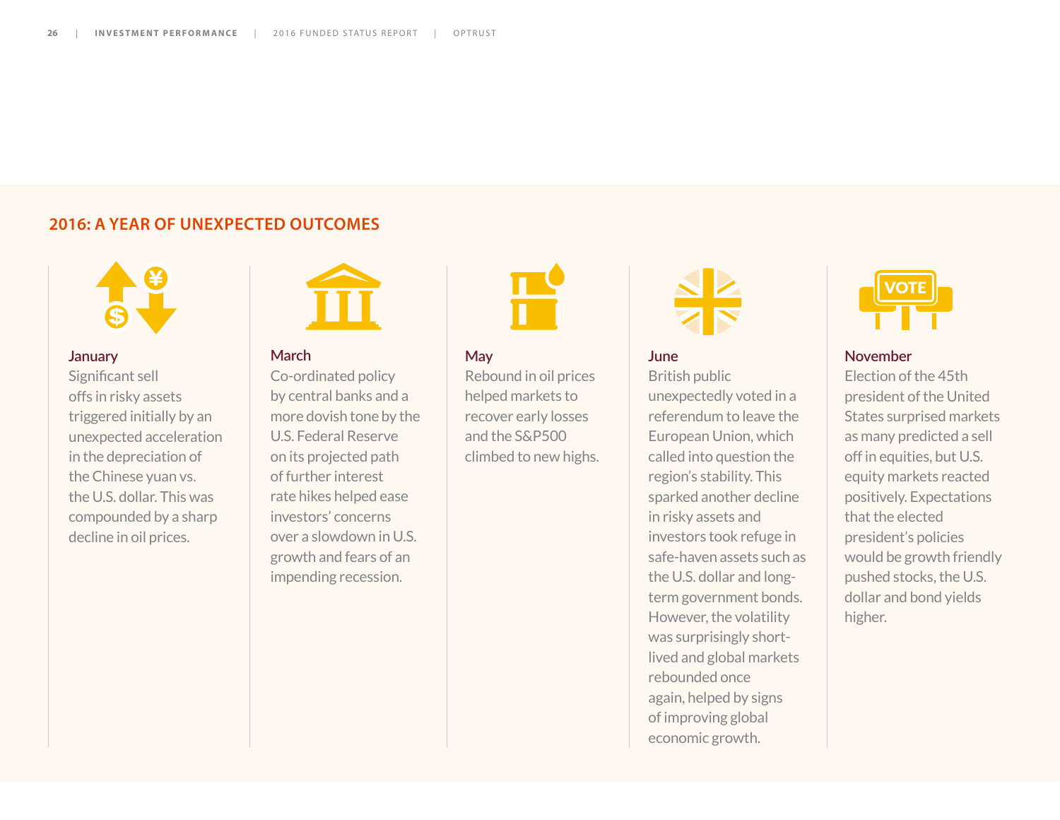#### **2016: A YEAR OF UNEXPECTED OUTCOMES**



#### **January**

Significant sell offs in risky assets triggered initially by an unexpected acceleration in the depreciation of the Chinese yuan vs. the U.S. dollar. This was compounded by a sharp decline in oil prices.



#### **March**

Co-ordinated policy by central banks and a more dovish tone by the U.S. Federal Reserve on its projected path of further interest rate hikes helped ease investors' concerns over a slowdown in U.S. growth and fears of an impending recession.

#### **May**

Rebound in oil prices helped markets to recover early losses and the S&P500 climbed to new highs.



**June**  British public unexpectedly voted in a referendum to leave the European Union, which called into question the region's stability. This sparked another decline in risky assets and investors took refuge in safe-haven assets such as the U.S. dollar and longterm government bonds. However, the volatility was surprisingly shortlived and global markets rebounded once again, helped by signs of improving global economic growth.



#### **November**

Election of the 45th president of the United States surprised markets as many predicted a sell off in equities, but U.S. equity markets reacted positively. Expectations that the elected president's policies would be growth friendly pushed stocks, the U.S. dollar and bond yields higher.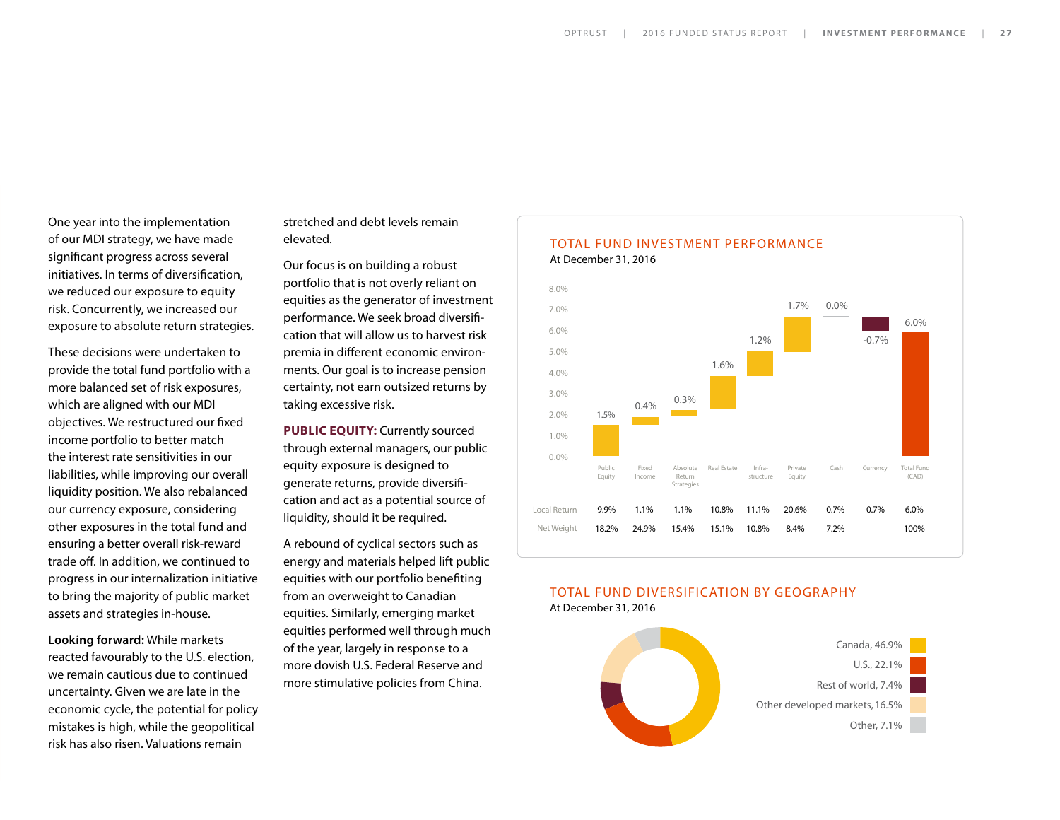One year into the implementation of our MDI strategy, we have made significant progress across several initiatives. In terms of diversification, we reduced our exposure to equity risk. Concurrently, we increased our exposure to absolute return strategies.

These decisions were undertaken to provide the total fund portfolio with a more balanced set of risk exposures, which are aligned with our MDI objectives. We restructured our fixed income portfolio to better match the interest rate sensitivities in our liabilities, while improving our overall liquidity position. We also rebalanced our currency exposure, considering other exposures in the total fund and ensuring a better overall risk-reward trade off. In addition, we continued to progress in our internalization initiative to bring the majority of public market assets and strategies in-house.

**Looking forward:** While markets reacted favourably to the U.S. election, we remain cautious due to continued uncertainty. Given we are late in the economic cycle, the potential for policy mistakes is high, while the geopolitical risk has also risen. Valuations remain

stretched and debt levels remain elevated.

Our focus is on building a robust portfolio that is not overly reliant on equities as the generator of investment performance. We seek broad diversification that will allow us to harvest risk premia in different economic environments. Our goal is to increase pension certainty, not earn outsized returns by taking excessive risk.

**PUBLIC EQUITY:** Currently sourced through external managers, our public equity exposure is designed to generate returns, provide diversification and act as a potential source of liquidity, should it be required.

A rebound of cyclical sectors such as energy and materials helped lift public equities with our portfolio benefiting from an overweight to Canadian equities. Similarly, emerging market equities performed well through much of the year, largely in response to a more dovish U.S. Federal Reserve and more stimulative policies from China.



#### TOTAL FUND DIVERSIFICATION BY GEOGRAPHY At December 31, 2016

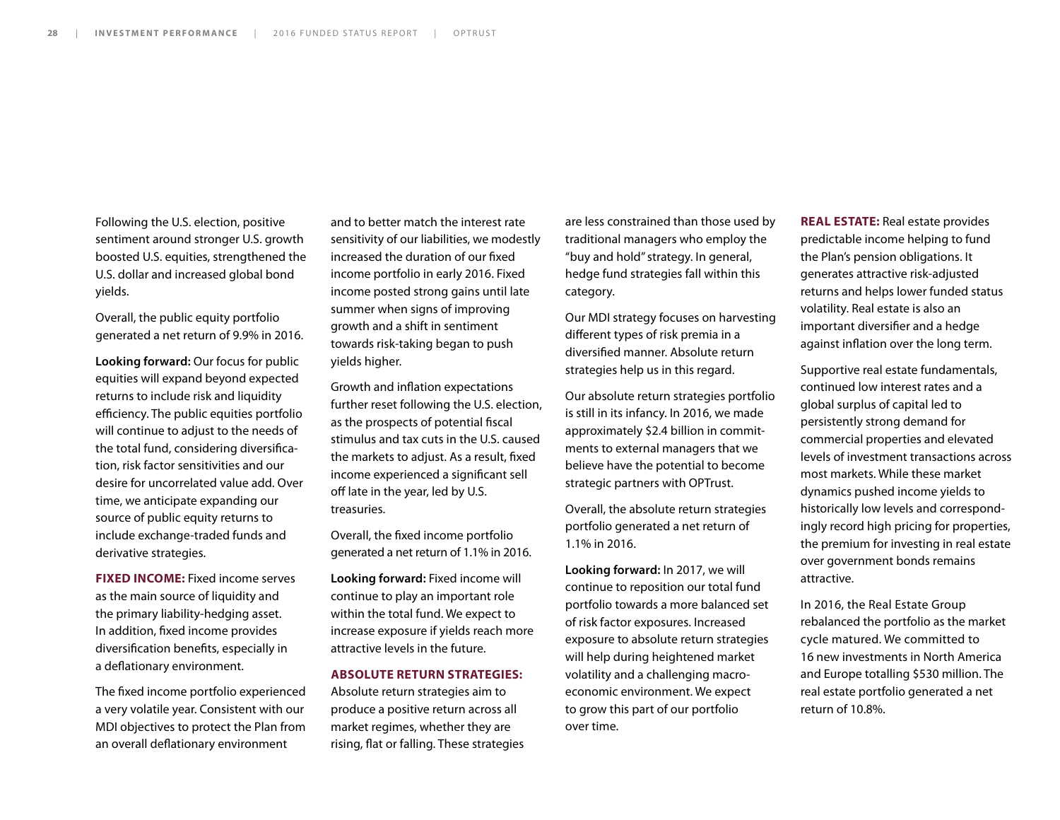Following the U.S. election, positive sentiment around stronger U.S. growth boosted U.S. equities, strengthened the U.S. dollar and increased global bond yields.

Overall, the public equity portfolio generated a net return of 9.9% in 2016.

**Looking forward:** Our focus for public equities will expand beyond expected returns to include risk and liquidity efficiency. The public equities portfolio will continue to adjust to the needs of the total fund, considering diversification, risk factor sensitivities and our desire for uncorrelated value add. Over time, we anticipate expanding our source of public equity returns to include exchange-traded funds and derivative strategies.

**FIXED INCOME:** Fixed income serves as the main source of liquidity and the primary liability-hedging asset. In addition, fixed income provides diversification benefits, especially in a deflationary environment.

The fixed income portfolio experienced a very volatile year. Consistent with our MDI objectives to protect the Plan from an overall deflationary environment

and to better match the interest rate sensitivity of our liabilities, we modestly increased the duration of our fixed income portfolio in early 2016. Fixed income posted strong gains until late summer when signs of improving growth and a shift in sentiment towards risk-taking began to push yields higher.

Growth and inflation expectations further reset following the U.S. election, as the prospects of potential fiscal stimulus and tax cuts in the U.S. caused the markets to adjust. As a result, fixed income experienced a significant sell off late in the year, led by U.S. treasuries.

Overall, the fixed income portfolio generated a net return of 1.1% in 2016.

**Looking forward:** Fixed income will continue to play an important role within the total fund. We expect to increase exposure if yields reach more attractive levels in the future.

#### **ABSOLUTE RETURN STRATEGIES:**

Absolute return strategies aim to produce a positive return across all market regimes, whether they are rising, flat or falling. These strategies

are less constrained than those used by traditional managers who employ the "buy and hold" strategy. In general, hedge fund strategies fall within this category.

Our MDI strategy focuses on harvesting different types of risk premia in a diversified manner. Absolute return strategies help us in this regard.

Our absolute return strategies portfolio is still in its infancy. In 2016, we made approximately \$2.4 billion in commitments to external managers that we believe have the potential to become strategic partners with OPTrust.

Overall, the absolute return strategies portfolio generated a net return of 1.1% in 2016.

**Looking forward:** In 2017, we will continue to reposition our total fund portfolio towards a more balanced set of risk factor exposures. Increased exposure to absolute return strategies will help during heightened market volatility and a challenging macroeconomic environment. We expect to grow this part of our portfolio over time.

**REAL ESTATE:** Real estate provides predictable income helping to fund the Plan's pension obligations. It generates attractive risk-adjusted returns and helps lower funded status volatility. Real estate is also an important diversifier and a hedge against inflation over the long term.

Supportive real estate fundamentals, continued low interest rates and a global surplus of capital led to persistently strong demand for commercial properties and elevated levels of investment transactions across most markets. While these market dynamics pushed income yields to historically low levels and correspondingly record high pricing for properties, the premium for investing in real estate over government bonds remains attractive.

In 2016, the Real Estate Group rebalanced the portfolio as the market cycle matured. We committed to 16 new investments in North America and Europe totalling \$530 million. The real estate portfolio generated a net return of 10.8%.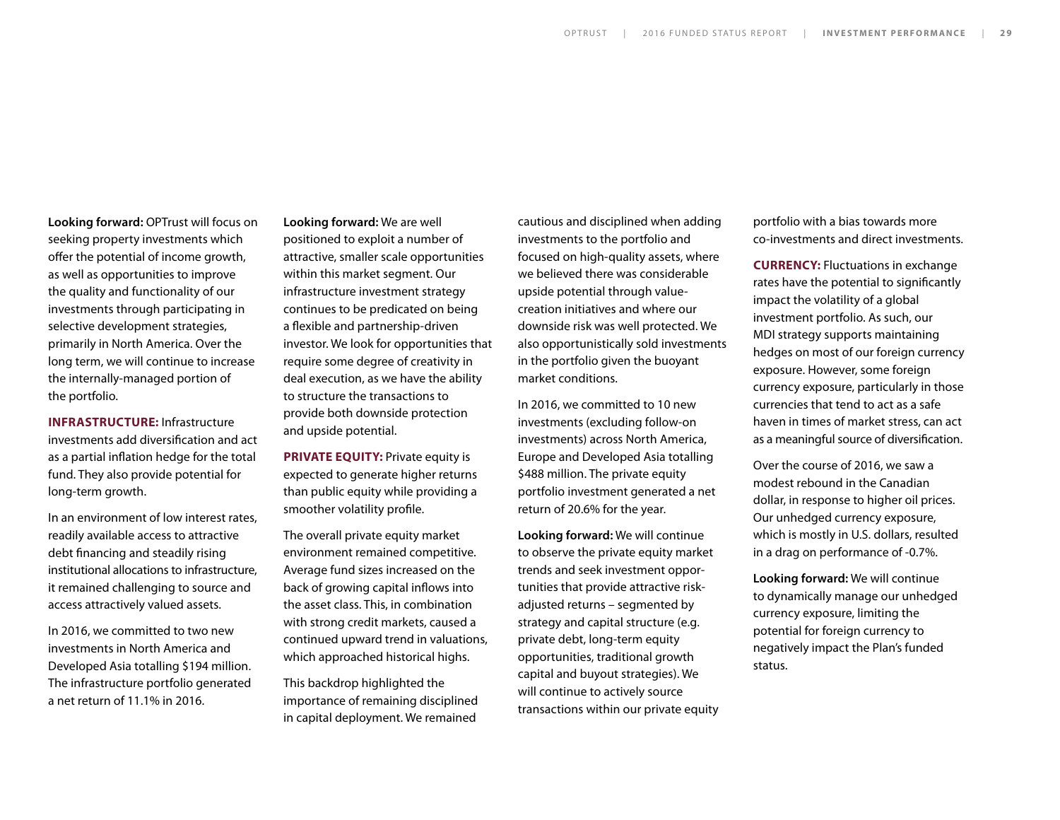**Looking forward:** OPTrust will focus on seeking property investments which offer the potential of income growth, as well as opportunities to improve the quality and functionality of our investments through participating in selective development strategies, primarily in North America. Over the long term, we will continue to increase the internally-managed portion of the portfolio.

**INFRASTRUCTURE:** Infrastructure investments add diversification and act as a partial inflation hedge for the total fund. They also provide potential for long-term growth.

In an environment of low interest rates, readily available access to attractive debt financing and steadily rising institutional allocations to infrastructure, it remained challenging to source and access attractively valued assets.

In 2016, we committed to two new investments in North America and Developed Asia totalling \$194 million. The infrastructure portfolio generated a net return of 11.1% in 2016.

**Looking forward:** We are well positioned to exploit a number of attractive, smaller scale opportunities within this market segment. Our infrastructure investment strategy continues to be predicated on being a flexible and partnership-driven investor. We look for opportunities that require some degree of creativity in deal execution, as we have the ability to structure the transactions to provide both downside protection and upside potential.

**PRIVATE EQUITY:** Private equity is expected to generate higher returns than public equity while providing a smoother volatility profile.

The overall private equity market environment remained competitive. Average fund sizes increased on the back of growing capital inflows into the asset class. This, in combination with strong credit markets, caused a continued upward trend in valuations, which approached historical highs.

This backdrop highlighted the importance of remaining disciplined in capital deployment. We remained

cautious and disciplined when adding investments to the portfolio and focused on high-quality assets, where we believed there was considerable upside potential through valuecreation initiatives and where our downside risk was well protected. We also opportunistically sold investments in the portfolio given the buoyant market conditions.

In 2016, we committed to 10 new investments (excluding follow-on investments) across North America, Europe and Developed Asia totalling \$488 million. The private equity portfolio investment generated a net return of 20.6% for the year.

**Looking forward:** We will continue to observe the private equity market trends and seek investment opportunities that provide attractive riskadjusted returns – segmented by strategy and capital structure (e.g. private debt, long-term equity opportunities, traditional growth capital and buyout strategies). We will continue to actively source transactions within our private equity portfolio with a bias towards more co-investments and direct investments.

**CURRENCY:** Fluctuations in exchange rates have the potential to significantly impact the volatility of a global investment portfolio. As such, our MDI strategy supports maintaining hedges on most of our foreign currency exposure. However, some foreign currency exposure, particularly in those currencies that tend to act as a safe haven in times of market stress, can act as a meaningful source of diversification.

Over the course of 2016, we saw a modest rebound in the Canadian dollar, in response to higher oil prices. Our unhedged currency exposure, which is mostly in U.S. dollars, resulted in a drag on performance of -0.7%.

**Looking forward:** We will continue to dynamically manage our unhedged currency exposure, limiting the potential for foreign currency to negatively impact the Plan's funded status.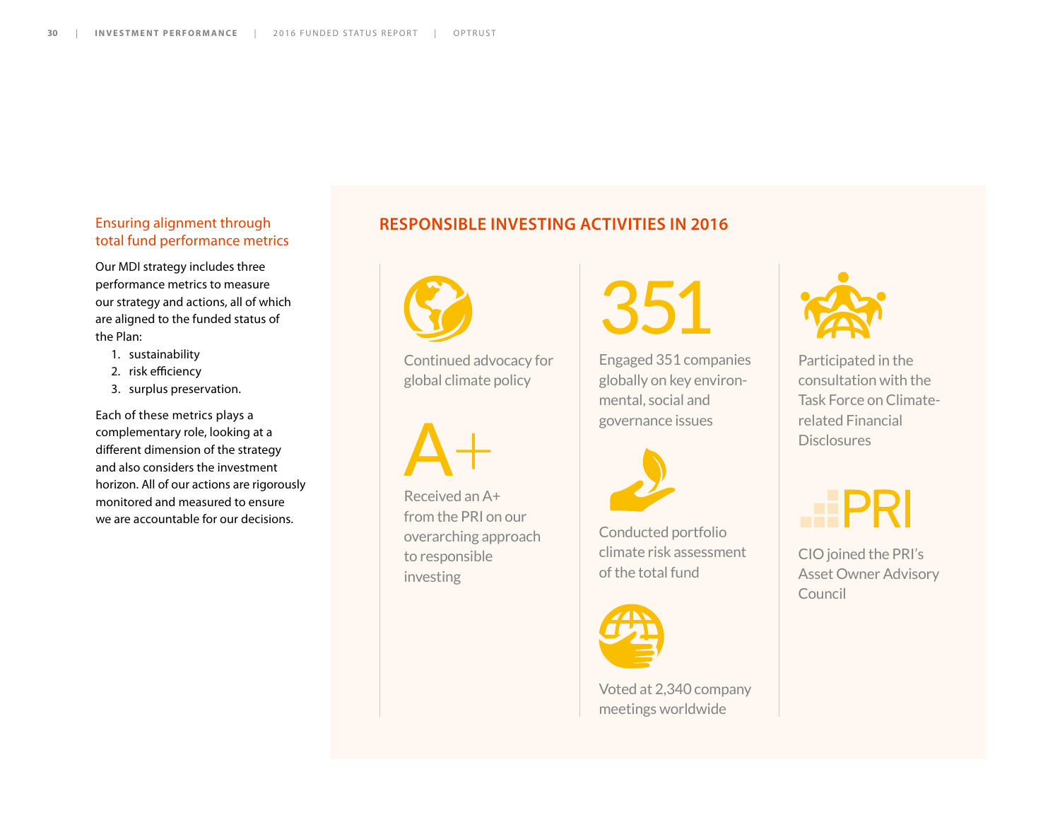#### Ensuring alignment through total fund performance metrics

Our MDI strategy includes three performance metrics to measure our strategy and actions, all of which are aligned to the funded status of the Plan:

- 1. sustainability
- 2. risk efficiency
- 3. surplus preservation.

Each of these metrics plays a complementary role, looking at a different dimension of the strategy and also considers the investment horizon. All of our actions are rigorously monitored and measured to ensure we are accountable for our decisions.

#### **RESPONSIBLE INVESTING ACTIVITIES IN 2016**



Continued advocacy for global climate policy

 $A+$ 

Received an A+ from the PRI on our overarching approach to responsible investing

351

Engaged 351 companies globally on key environmental, social and governance issues



Conducted portfolio climate risk assessment of the total fund



Voted at 2,340 company meetings worldwide



Participated in the consultation with the Task Force on Climaterelated Financial **Disclosures** 

CIO joined the PRI's Asset Owner Advisory Council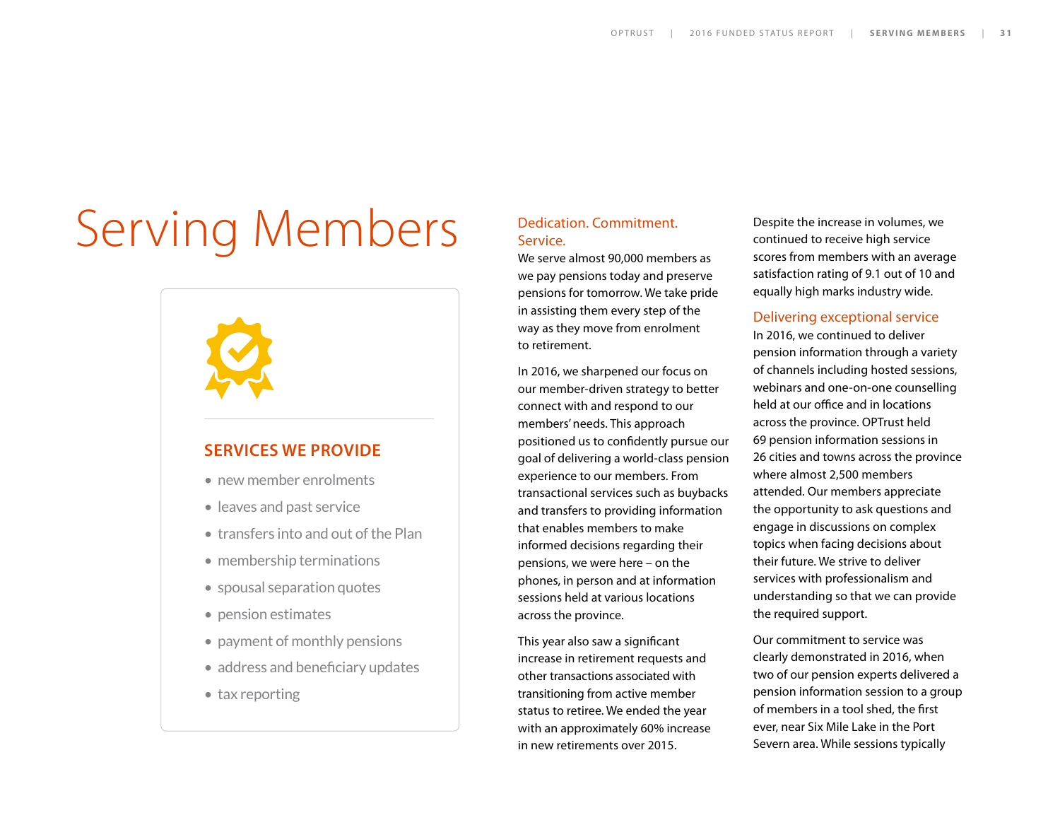# Serving Members

#### **SERVICES WE PROVIDE**

- new member enrolments
- leaves and past service
- transfers into and out of the Plan
- membership terminations
- spousal separation quotes
- pension estimates
- payment of monthly pensions
- address and beneficiary updates
- tax reporting

#### Dedication. Commitment. Service.

We serve almost 90,000 members as we pay pensions today and preserve pensions for tomorrow. We take pride in assisting them every step of the way as they move from enrolment to retirement.

In 2016, we sharpened our focus on our member-driven strategy to better connect with and respond to our members' needs. This approach positioned us to confidently pursue our goal of delivering a world-class pension experience to our members. From transactional services such as buybacks and transfers to providing information that enables members to make informed decisions regarding their pensions, we were here – on the phones, in person and at information sessions held at various locations across the province.

This year also saw a significant increase in retirement requests and other transactions associated with transitioning from active member status to retiree. We ended the year with an approximately 60% increase in new retirements over 2015.

Despite the increase in volumes, we continued to receive high service scores from members with an average satisfaction rating of 9.1 out of 10 and equally high marks industry wide.

#### Delivering exceptional service

In 2016, we continued to deliver pension information through a variety of channels including hosted sessions, webinars and one-on-one counselling held at our office and in locations across the province. OPTrust held 69 pension information sessions in 26 cities and towns across the province where almost 2,500 members attended. Our members appreciate the opportunity to ask questions and engage in discussions on complex topics when facing decisions about their future. We strive to deliver services with professionalism and understanding so that we can provide the required support.

Our commitment to service was clearly demonstrated in 2016, when two of our pension experts delivered a pension information session to a group of members in a tool shed, the first ever, near Six Mile Lake in the Port Severn area. While sessions typically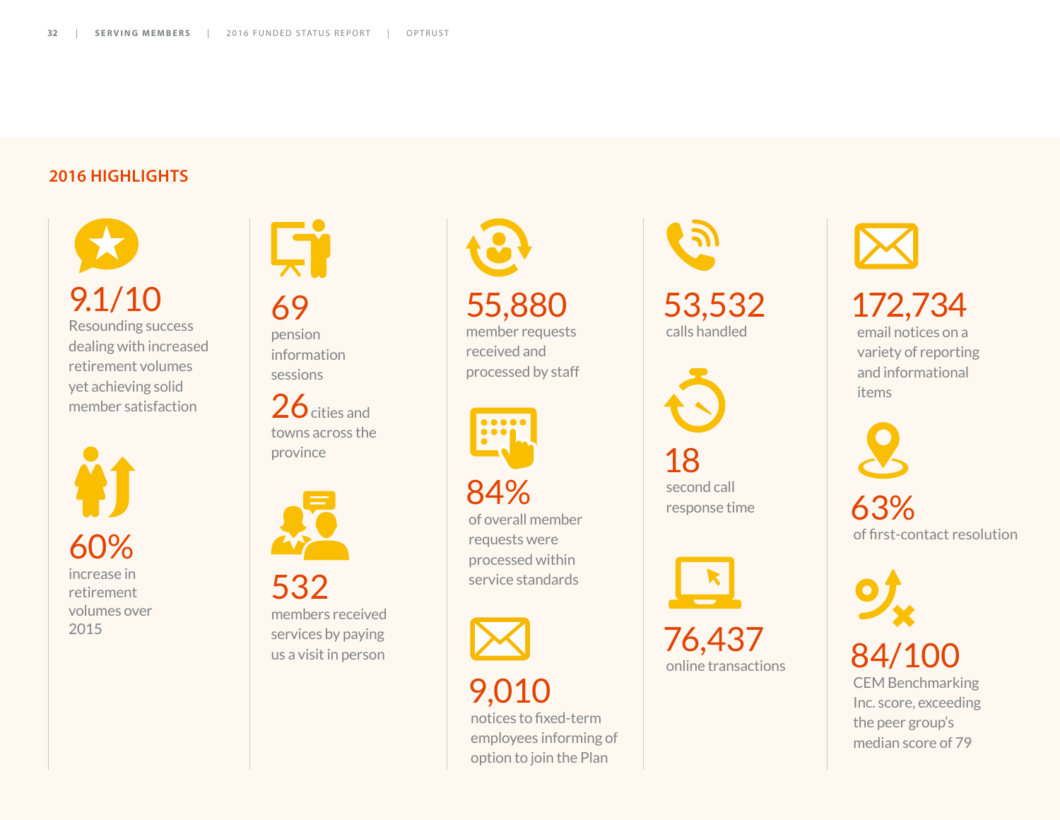### **2016 HIGHLIGHTS**

9.1/10 Resounding success dealing with increased retirement volumes yet achieving solid member satisfaction

60% increase in retirement volumes over 2015



69 pension

information sessions

 $26$  cities and towns across the province



532 members received services by paying us a visit in person

55,880

member requests received and processed by staff



84% of overall member requests were processed within service standards

9,010 notices to fixed-term employees informing of option to join the Plan

53,532 calls handled



second call response time



76,437<br>online transactions

 $172,734$ <br>email notices on a variety of reporting and informational items

63% of first-contact resolution

84/100 CEM Benchmarking Inc. score, exceeding the peer group's median score of 79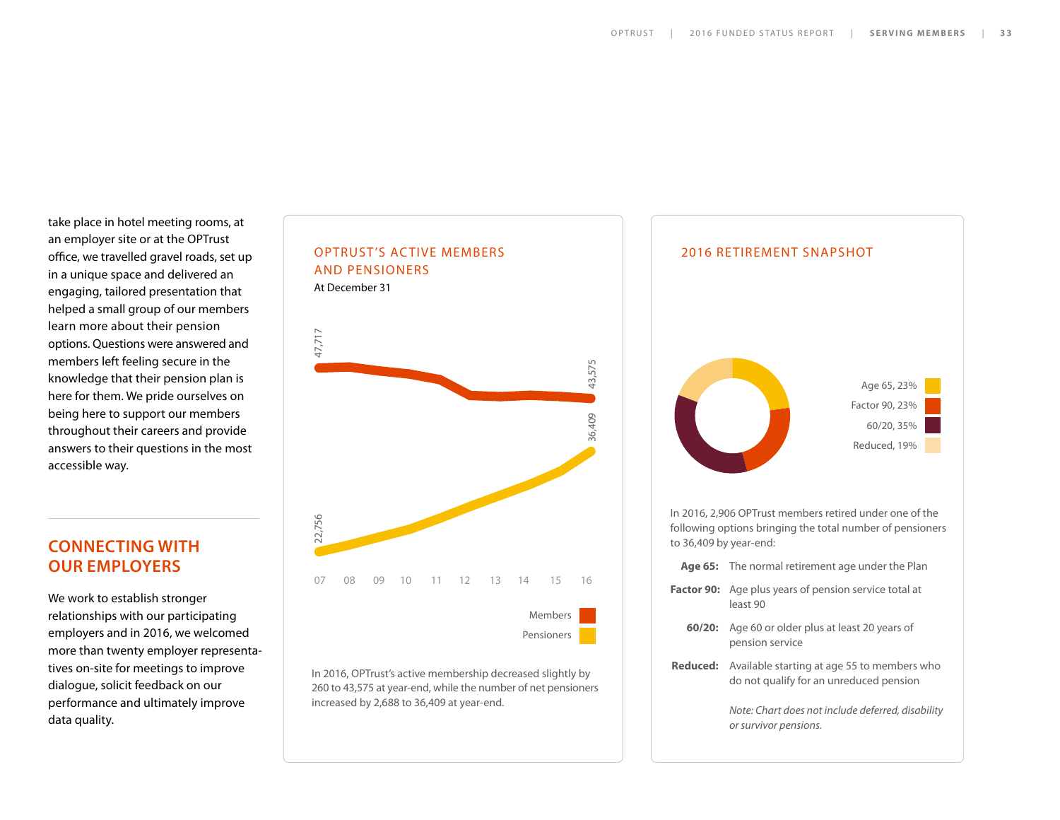take place in hotel meeting rooms, at an employer site or at the OPTrust office, we travelled gravel roads, set up in a unique space and delivered an engaging, tailored presentation that helped a small group of our members learn more about their pension options. Questions were answered and members left feeling secure in the knowledge that their pension plan is here for them. We pride ourselves on being here to support our members throughout their careers and provide answers to their questions in the most accessible way.

### **CONNECTING WITH OUR EMPLOYERS**

We work to establish stronger relationships with our participating employers and in 2016, we welcomed more than twenty employer representatives on-site for meetings to improve dialogue, solicit feedback on our performance and ultimately improve data quality.



In 2016, OPTrust's active membership decreased slightly by 260 to 43,575 at year-end, while the number of net pensioners increased by 2,688 to 36,409 at year-end.

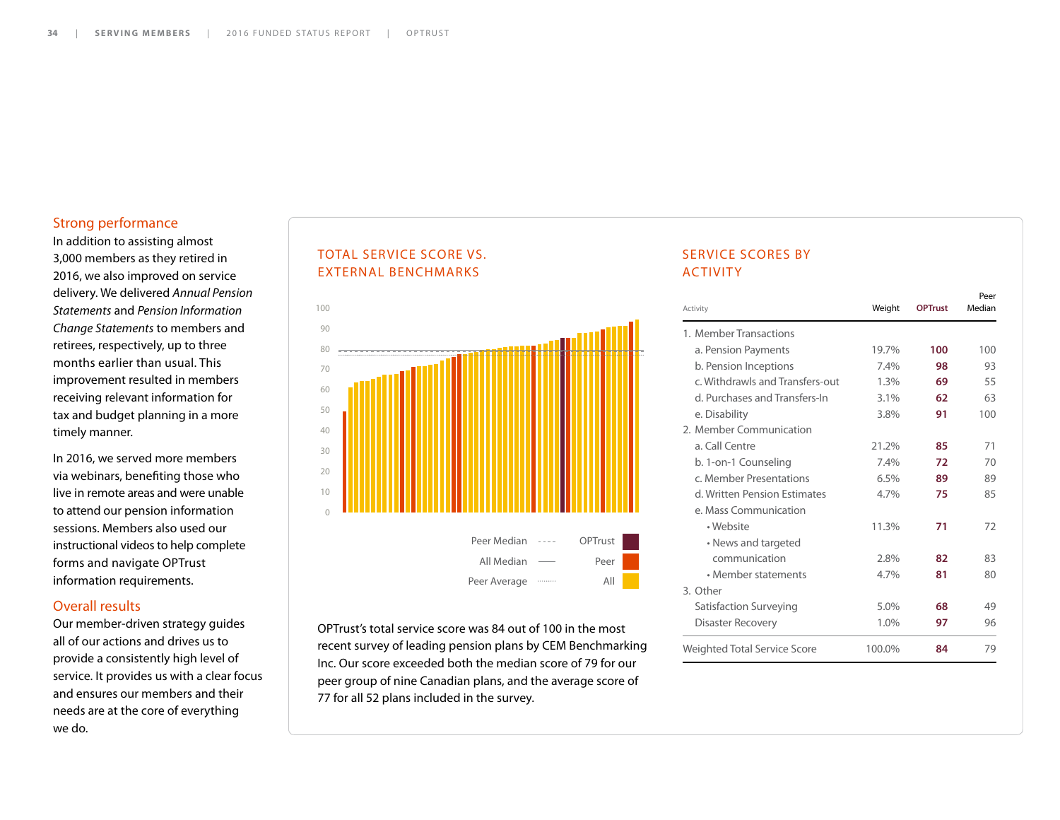#### Strong performance

In addition to assisting almost 3,000 members as they retired in 2016, we also improved on service delivery. We delivered *Annual Pension Statements* and *Pension Information Change Statements* to members and retirees, respectively, up to three months earlier than usual. This improvement resulted in members receiving relevant information for tax and budget planning in a more timely manner.

In 2016, we served more members via webinars, benefiting those who live in remote areas and were unable to attend our pension information sessions. Members also used our instructional videos to help complete forms and navigate OPTrust information requirements.

#### Overall results

Our member-driven strategy guides all of our actions and drives us to provide a consistently high level of service. It provides us with a clear focus and ensures our members and their needs are at the core of everything we do.

#### TOTAL SERVICE SCORE VS. EXTERNAL BENCHMARKS



OPTrust's total service score was 84 out of 100 in the most recent survey of leading pension plans by CEM Benchmarking Inc. Our score exceeded both the median score of 79 for our peer group of nine Canadian plans, and the average score of 77 for all 52 plans included in the survey.

#### SERVICE SCORES BY ACTIVITY

| Activity                            | Weight | <b>OPTrust</b> | Peer<br>Median |
|-------------------------------------|--------|----------------|----------------|
| 1. Member Transactions              |        |                |                |
| a. Pension Payments                 | 19.7%  | 100            | 100            |
| b. Pension Inceptions               | 7.4%   | 98             | 93             |
| c. Withdrawls and Transfers-out     | 1.3%   | 69             | 55             |
| d. Purchases and Transfers-In       | 3.1%   | 62             | 63             |
| e. Disability                       | 3.8%   | 91             | 100            |
| 2. Member Communication             |        |                |                |
| a. Call Centre                      | 21.2%  | 85             | 71             |
| b. 1-on-1 Counseling                | 7.4%   | 72             | 70             |
| c. Member Presentations             | 6.5%   | 89             | 89             |
| d. Written Pension Estimates        | 4.7%   | 75             | 85             |
| e. Mass Communication               |        |                |                |
| • Website                           | 11.3%  | 71             | 72             |
| • News and targeted                 |        |                |                |
| communication                       | 2.8%   | 82             | 83             |
| • Member statements                 | 4.7%   | 81             | 80             |
| 3. Other                            |        |                |                |
| Satisfaction Surveying              | 5.0%   | 68             | 49             |
| Disaster Recovery                   | 1.0%   | 97             | 96             |
| <b>Weighted Total Service Score</b> | 100.0% | 84             | 79             |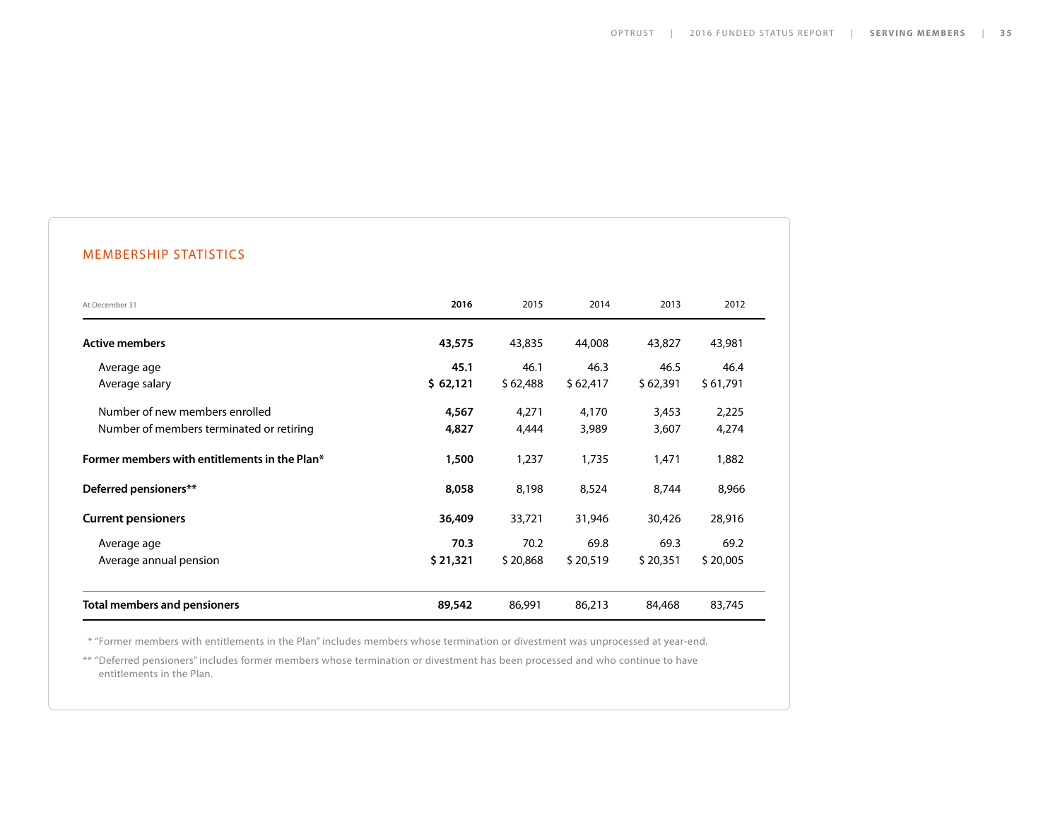#### MEMBERSHIP STATISTICS

| At December 31                                                             | 2016             | 2015             | 2014             | 2013             | 2012             |
|----------------------------------------------------------------------------|------------------|------------------|------------------|------------------|------------------|
| <b>Active members</b>                                                      | 43,575           | 43,835           | 44,008           | 43,827           | 43,981           |
| Average age<br>Average salary                                              | 45.1<br>\$62,121 | 46.1<br>\$62,488 | 46.3<br>\$62,417 | 46.5<br>\$62,391 | 46.4<br>\$61,791 |
| Number of new members enrolled<br>Number of members terminated or retiring | 4,567<br>4,827   | 4,271<br>4,444   | 4,170<br>3,989   | 3,453<br>3,607   | 2,225<br>4,274   |
| Former members with entitlements in the Plan*                              | 1,500            | 1,237            | 1,735            | 1,471            | 1,882            |
| Deferred pensioners**                                                      | 8,058            | 8,198            | 8,524            | 8,744            | 8,966            |
| <b>Current pensioners</b>                                                  | 36,409           | 33,721           | 31,946           | 30,426           | 28,916           |
| Average age<br>Average annual pension                                      | 70.3<br>\$21,321 | 70.2<br>\$20,868 | 69.8<br>\$20,519 | 69.3<br>\$20,351 | 69.2<br>\$20,005 |
| <b>Total members and pensioners</b>                                        | 89,542           | 86,991           | 86,213           | 84,468           | 83,745           |

\* "Former members with entitlements in the Plan" includes members whose termination or divestment was unprocessed at year-end.

\*\* "Deferred pensioners" includes former members whose termination or divestment has been processed and who continue to have entitlements in the Plan.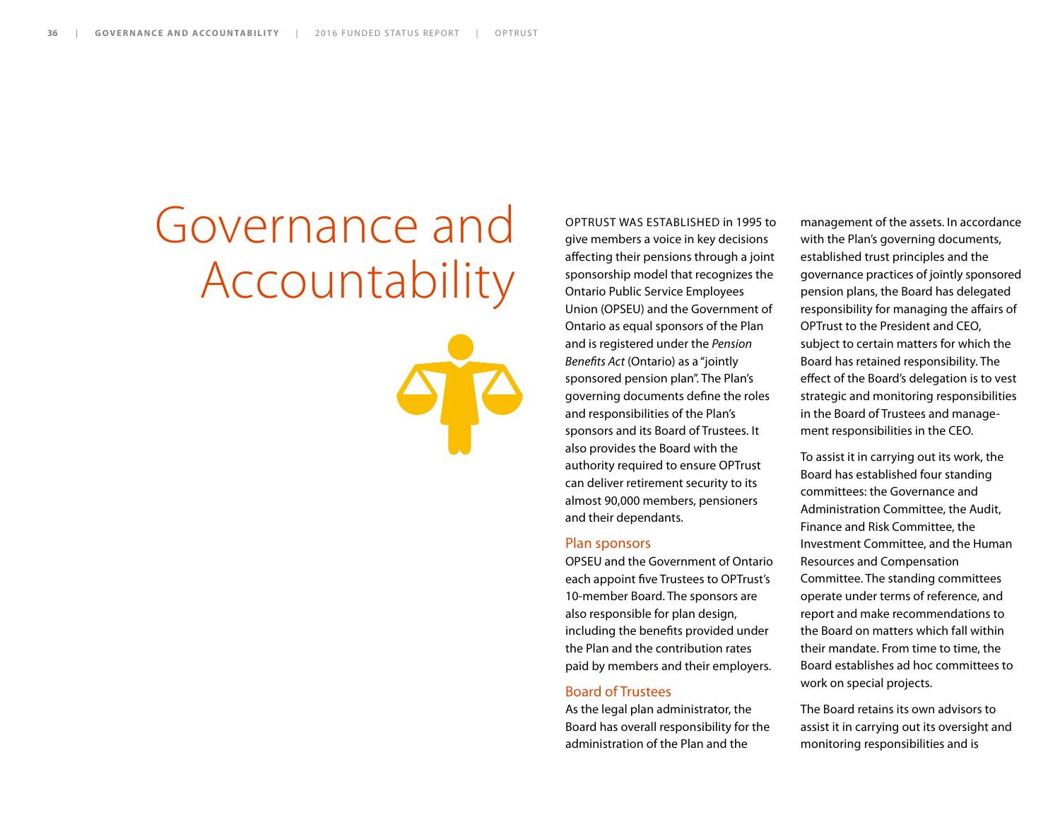# Governance and Accountability



OPTRUST WAS ESTABLISHED in 1995 to give members a voice in key decisions affecting their pensions through a joint sponsorship model that recognizes the Ontario Public Service Employees Union (OPSEU) and the Government of Ontario as equal sponsors of the Plan and is registered under the *Pension Benefits Act* (Ontario) as a "jointly sponsored pension plan". The Plan's governing documents define the roles and responsibilities of the Plan's sponsors and its Board of Trustees. It also provides the Board with the authority required to ensure OPTrust can deliver retirement security to its almost 90,000 members, pensioners and their dependants.

#### Plan sponsors

OPSEU and the Government of Ontario each appoint five Trustees to OPTrust's 10-member Board. The sponsors are also responsible for plan design, including the benefits provided under the Plan and the contribution rates paid by members and their employers.

#### Board of Trustees

As the legal plan administrator, the Board has overall responsibility for the administration of the Plan and the

management of the assets. In accordance with the Plan's governing documents, established trust principles and the governance practices of jointly sponsored pension plans, the Board has delegated responsibility for managing the affairs of OPTrust to the President and CEO, subject to certain matters for which the Board has retained responsibility. The effect of the Board's delegation is to vest strategic and monitoring responsibilities in the Board of Trustees and management responsibilities in the CEO.

To assist it in carrying out its work, the Board has established four standing committees: the Governance and Administration Committee, the Audit, Finance and Risk Committee, the Investment Committee, and the Human Resources and Compensation Committee. The standing committees operate under terms of reference, and report and make recommendations to the Board on matters which fall within their mandate. From time to time, the Board establishes ad hoc committees to work on special projects.

The Board retains its own advisors to assist it in carrying out its oversight and monitoring responsibilities and is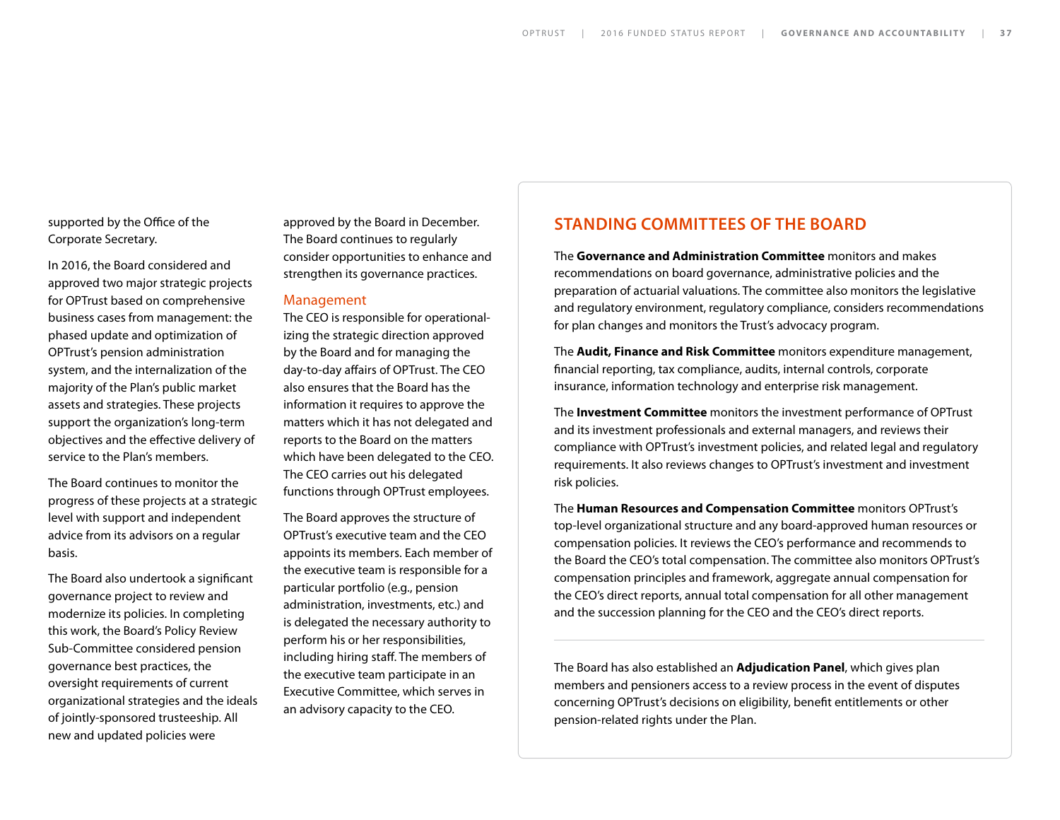supported by the Office of the Corporate Secretary.

In 2016, the Board considered and approved two major strategic projects for OPTrust based on comprehensive business cases from management: the phased update and optimization of OPTrust's pension administration system, and the internalization of the majority of the Plan's public market assets and strategies. These projects support the organization's long-term objectives and the effective delivery of service to the Plan's members.

The Board continues to monitor the progress of these projects at a strategic level with support and independent advice from its advisors on a regular basis.

The Board also undertook a significant governance project to review and modernize its policies. In completing this work, the Board's Policy Review Sub-Committee considered pension governance best practices, the oversight requirements of current organizational strategies and the ideals of jointly-sponsored trusteeship. All new and updated policies were

approved by the Board in December. The Board continues to regularly consider opportunities to enhance and strengthen its governance practices.

#### Management

The CEO is responsible for operationalizing the strategic direction approved by the Board and for managing the day-to-day affairs of OPTrust. The CEO also ensures that the Board has the information it requires to approve the matters which it has not delegated and reports to the Board on the matters which have been delegated to the CEO. The CEO carries out his delegated functions through OPTrust employees.

The Board approves the structure of OPTrust's executive team and the CEO appoints its members. Each member of the executive team is responsible for a particular portfolio (e.g., pension administration, investments, etc.) and is delegated the necessary authority to perform his or her responsibilities, including hiring staff. The members of the executive team participate in an Executive Committee, which serves in an advisory capacity to the CEO.

#### **STANDING COMMITTEES OF THE BOARD**

The **Governance and Administration Committee** monitors and makes recommendations on board governance, administrative policies and the preparation of actuarial valuations. The committee also monitors the legislative and regulatory environment, regulatory compliance, considers recommendations for plan changes and monitors the Trust's advocacy program.

The **Audit, Finance and Risk Committee** monitors expenditure management, financial reporting, tax compliance, audits, internal controls, corporate insurance, information technology and enterprise risk management.

The **Investment Committee** monitors the investment performance of OPTrust and its investment professionals and external managers, and reviews their compliance with OPTrust's investment policies, and related legal and regulatory requirements. It also reviews changes to OPTrust's investment and investment risk policies.

The **Human Resources and Compensation Committee** monitors OPTrust's top-level organizational structure and any board-approved human resources or compensation policies. It reviews the CEO's performance and recommends to the Board the CEO's total compensation. The committee also monitors OPTrust's compensation principles and framework, aggregate annual compensation for the CEO's direct reports, annual total compensation for all other management and the succession planning for the CEO and the CEO's direct reports.

The Board has also established an **Adjudication Panel**, which gives plan members and pensioners access to a review process in the event of disputes concerning OPTrust's decisions on eligibility, benefit entitlements or other pension-related rights under the Plan.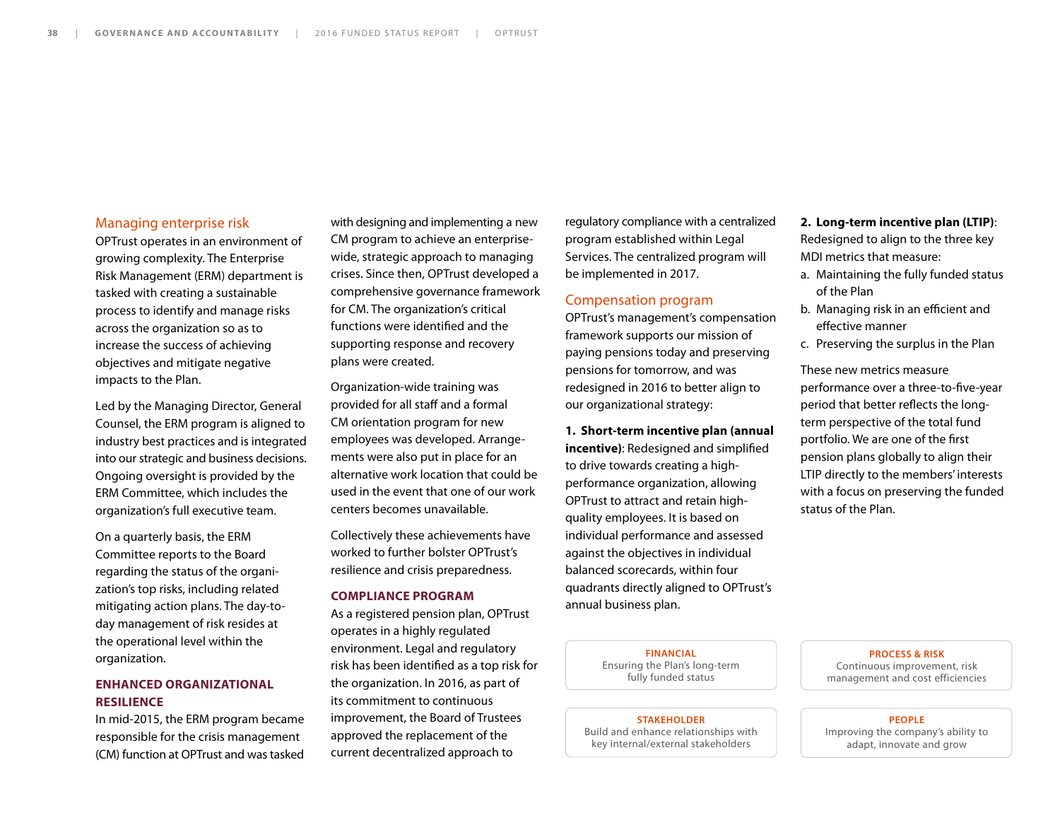#### Managing enterprise risk

OPTrust operates in an environment of growing complexity. The Enterprise Risk Management (ERM) department is tasked with creating a sustainable process to identify and manage risks across the organization so as to increase the success of achieving objectives and mitigate negative impacts to the Plan.

Led by the Managing Director, General Counsel, the ERM program is aligned to industry best practices and is integrated into our strategic and business decisions. Ongoing oversight is provided by the ERM Committee, which includes the organization's full executive team.

On a quarterly basis, the ERM Committee reports to the Board regarding the status of the organization's top risks, including related mitigating action plans. The day-today management of risk resides at the operational level within the organization.

#### **ENHANCED ORGANIZATIONAL RESILIENCE**

In mid-2015, the ERM program became responsible for the crisis management (CM) function at OPTrust and was tasked

with designing and implementing a new CM program to achieve an enterprisewide, strategic approach to managing crises. Since then, OPTrust developed a comprehensive governance framework for CM. The organization's critical functions were identified and the supporting response and recovery plans were created.

Organization-wide training was provided for all staff and a formal CM orientation program for new employees was developed. Arrangements were also put in place for an alternative work location that could be used in the event that one of our work centers becomes unavailable.

Collectively these achievements have worked to further bolster OPTrust's resilience and crisis preparedness.

#### **COMPLIANCE PROGRAM**

As a registered pension plan, OPTrust operates in a highly regulated environment. Legal and regulatory risk has been identified as a top risk for the organization. In 2016, as part of its commitment to continuous improvement, the Board of Trustees approved the replacement of the current decentralized approach to

regulatory compliance with a centralized program established within Legal Services. The centralized program will be implemented in 2017.

#### Compensation program

OPTrust's management's compensation framework supports our mission of paying pensions today and preserving pensions for tomorrow, and was redesigned in 2016 to better align to our organizational strategy:

**1. Short-term incentive plan (annual incentive)**: Redesigned and simplified to drive towards creating a highperformance organization, allowing OPTrust to attract and retain highquality employees. It is based on individual performance and assessed against the objectives in individual balanced scorecards, within four quadrants directly aligned to OPTrust's annual business plan.

#### **FINANCIAL** Ensuring the Plan's long-term fully funded status

#### **STAKEHOLDER**

Build and enhance relationships with key internal/external stakeholders

#### **2. Long-term incentive plan (LTIP)**:

Redesigned to align to the three key MDI metrics that measure:

- a. Maintaining the fully funded status of the Plan
- b. Managing risk in an efficient and effective manner
- c. Preserving the surplus in the Plan

These new metrics measure performance over a three-to-five-year period that better reflects the longterm perspective of the total fund portfolio. We are one of the first pension plans globally to align their LTIP directly to the members' interests with a focus on preserving the funded status of the Plan.

> **PROCESS & RISK** Continuous improvement, risk management and cost efficiencies

#### **PEOPLE**

Improving the company's ability to adapt, innovate and grow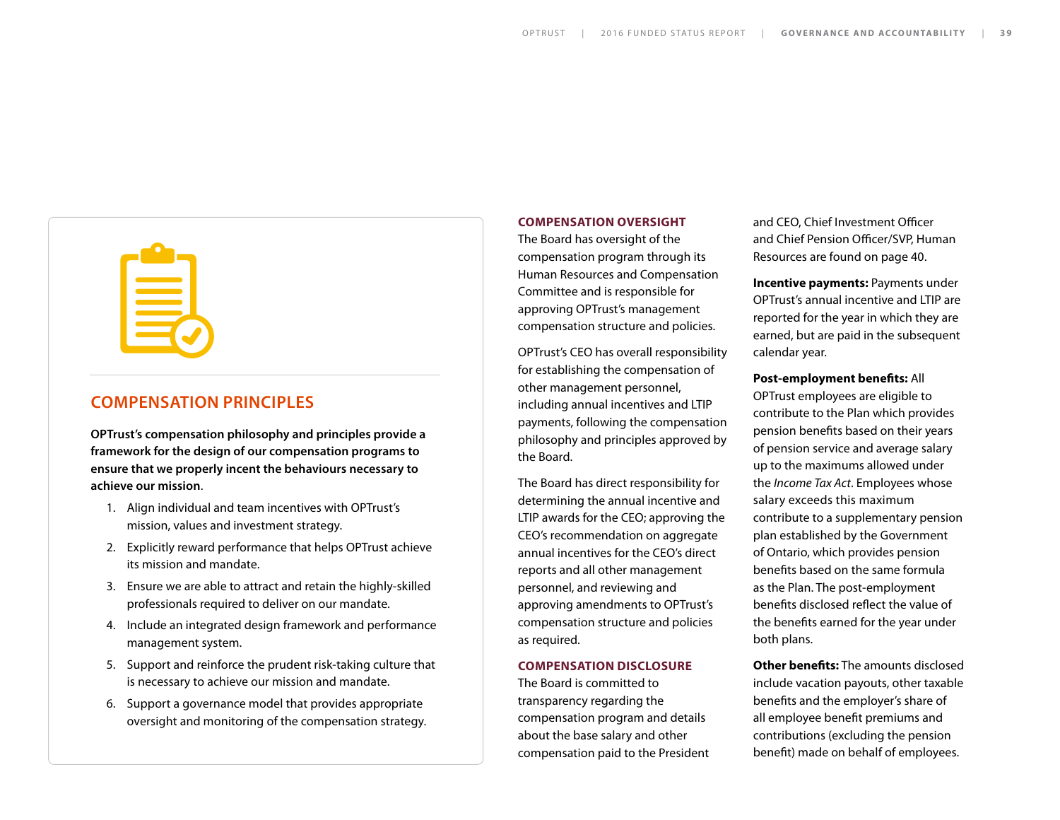#### **COMPENSATION PRINCIPLES**

**OPTrust's compensation philosophy and principles provide a framework for the design of our compensation programs to ensure that we properly incent the behaviours necessary to achieve our mission**.

- 1. Align individual and team incentives with OPTrust's mission, values and investment strategy.
- 2. Explicitly reward performance that helps OPTrust achieve its mission and mandate.
- 3. Ensure we are able to attract and retain the highly-skilled professionals required to deliver on our mandate.
- 4. Include an integrated design framework and performance management system.
- 5. Support and reinforce the prudent risk-taking culture that is necessary to achieve our mission and mandate.
- 6. Support a governance model that provides appropriate oversight and monitoring of the compensation strategy.

#### **COMPENSATION OVERSIGHT**

The Board has oversight of the compensation program through its Human Resources and Compensation Committee and is responsible for approving OPTrust's management compensation structure and policies.

OPTrust's CEO has overall responsibility for establishing the compensation of other management personnel, including annual incentives and LTIP payments, following the compensation philosophy and principles approved by the Board.

The Board has direct responsibility for determining the annual incentive and LTIP awards for the CEO; approving the CEO's recommendation on aggregate annual incentives for the CEO's direct reports and all other management personnel, and reviewing and approving amendments to OPTrust's compensation structure and policies as required.

#### **COMPENSATION DISCLOSURE**

The Board is committed to transparency regarding the compensation program and details about the base salary and other compensation paid to the President and CEO, Chief Investment Officer and Chief Pension Officer/SVP, Human Resources are found on page 40.

**Incentive payments:** Payments under OPTrust's annual incentive and LTIP are reported for the year in which they are earned, but are paid in the subsequent calendar year.

#### **Post-employment benefits:** All

OPTrust employees are eligible to contribute to the Plan which provides pension benefits based on their years of pension service and average salary up to the maximums allowed under the *Income Tax Act*. Employees whose salary exceeds this maximum contribute to a supplementary pension plan established by the Government of Ontario, which provides pension benefits based on the same formula as the Plan. The post-employment benefits disclosed reflect the value of the benefits earned for the year under both plans.

**Other benefits:** The amounts disclosed include vacation payouts, other taxable benefits and the employer's share of all employee benefit premiums and contributions (excluding the pension benefit) made on behalf of employees.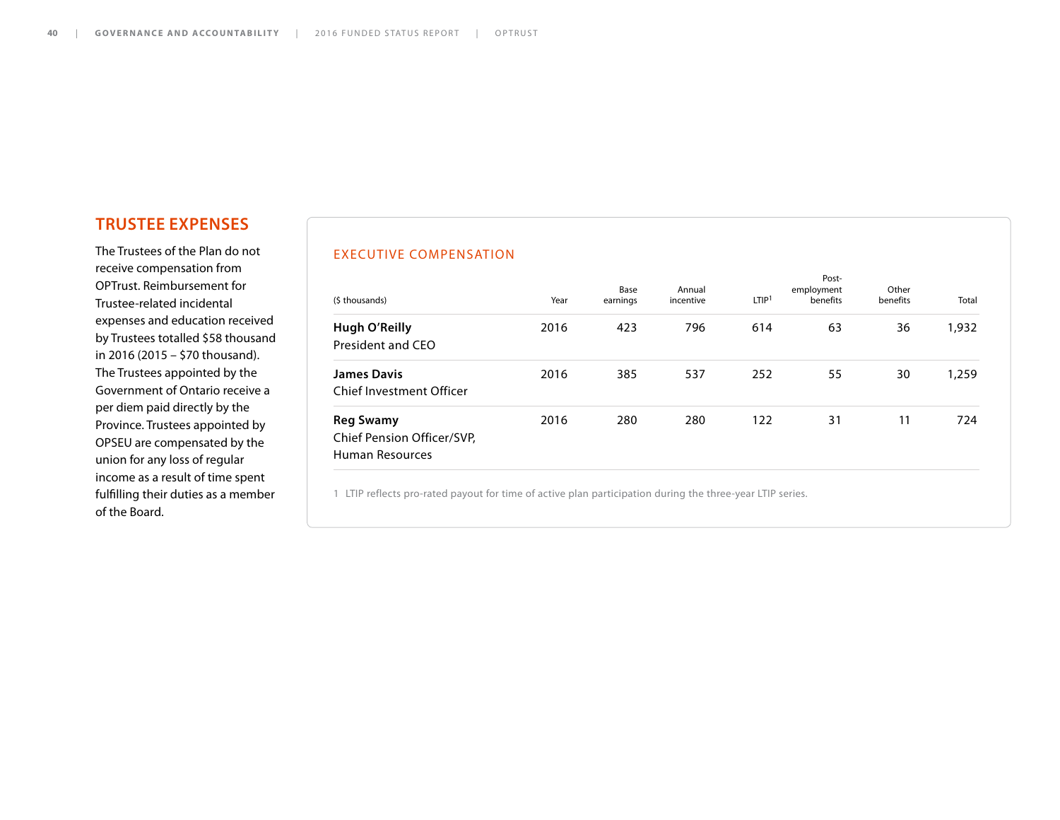### **TRUSTEE EXPENSES**

The Trustees of the Plan do not receive compensation from OPTrust. Reimbursement for Trustee-related incidental expenses and education received by Trustees totalled \$58 thousand in 2016 (2015 – \$70 thousand). The Trustees appointed by the Government of Ontario receive a per diem paid directly by the Province. Trustees appointed by OPSEU are compensated by the union for any loss of regular income as a result of time spent fulfilling their duties as a member of the Board.

#### EXECUTIVE COMPENSATION

| (\$ thousands)                                                    | Year | Base<br>earnings | Annual<br>incentive | LTIP <sup>1</sup> | Post-<br>employment<br>benefits | Other<br>benefits | Total |
|-------------------------------------------------------------------|------|------------------|---------------------|-------------------|---------------------------------|-------------------|-------|
| Hugh O'Reilly<br>President and CEO                                | 2016 | 423              | 796                 | 614               | 63                              | 36                | 1,932 |
| <b>James Davis</b><br><b>Chief Investment Officer</b>             | 2016 | 385              | 537                 | 252               | 55                              | 30                | 1,259 |
| <b>Reg Swamy</b><br>Chief Pension Officer/SVP,<br>Human Resources | 2016 | 280              | 280                 | 122               | 31                              | 11                | 724   |

1 LTIP reflects pro-rated payout for time of active plan participation during the three-year LTIP series.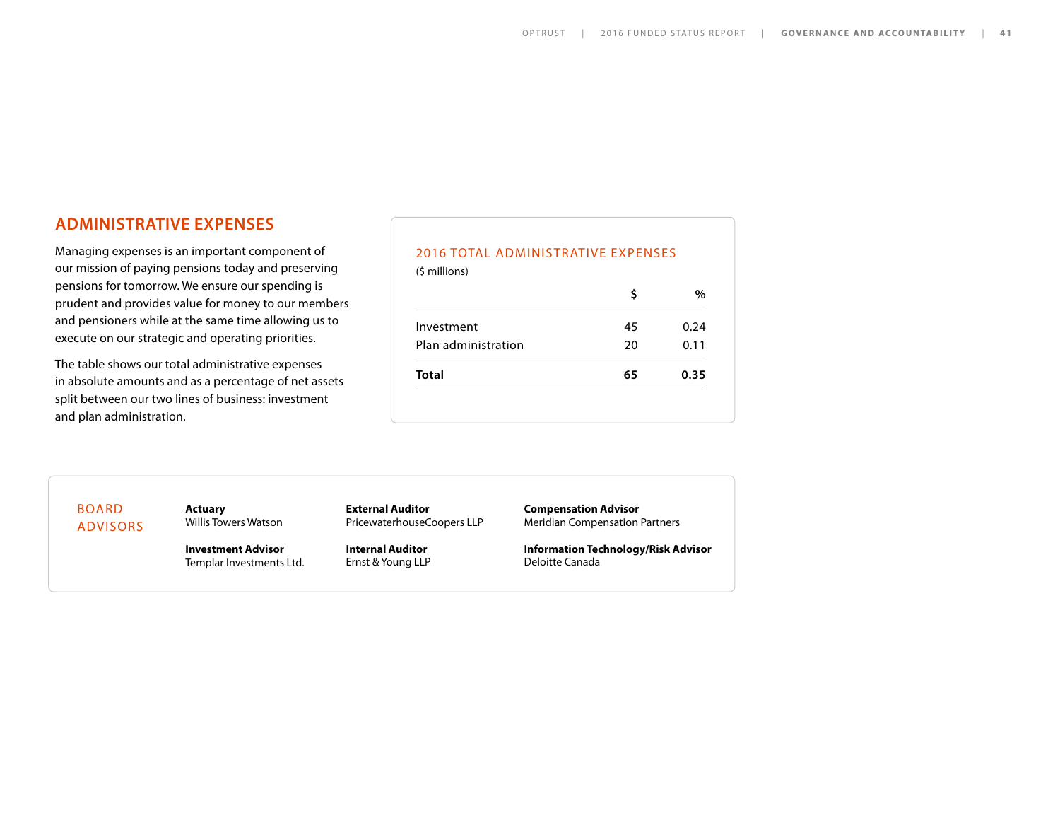#### **ADMINISTRATIVE EXPENSES**

Managing expenses is an important component of our mission of paying pensions today and preserving pensions for tomorrow. We ensure our spending is prudent and provides value for money to our members and pensioners while at the same time allowing us to execute on our strategic and operating priorities.

The table shows our total administrative expenses in absolute amounts and as a percentage of net assets split between our two lines of business: investment and plan administration.

### 2016 TOTAL ADMINISTRATIVE EXPENSES (\$ millions) **\$ %** Investment 45 0.24 Plan administration 1990 20 11 **Total 65 0.35**

BOARD ADVISORS **Actuary** Willis Towers Watson

**Investment Advisor** Templar Investments Ltd. **External Auditor** PricewaterhouseCoopers LLP

**Internal Auditor** Ernst & Young LLP **Compensation Advisor** Meridian Compensation Partners

**Information Technology/Risk Advisor** Deloitte Canada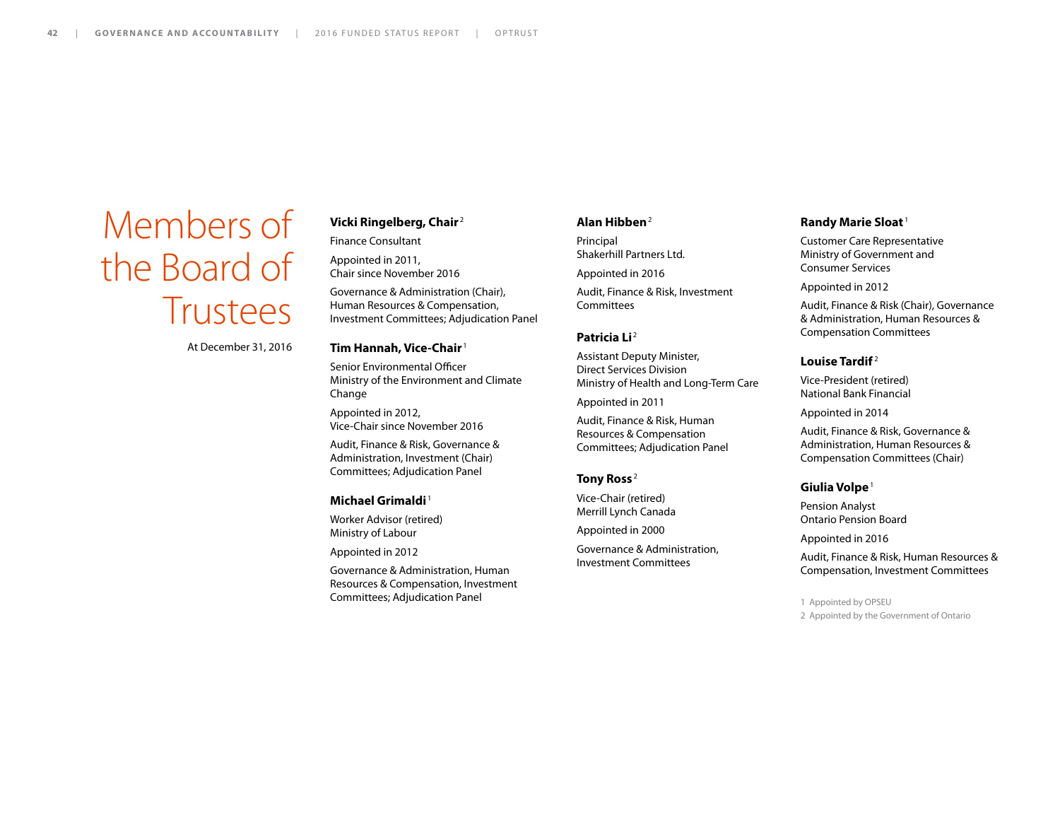## Members of the Board of **Trustees**

At December 31, 2016

#### **Vicki Ringelberg, Chair** <sup>2</sup>

Finance Consultant

Appointed in 2011, Chair since November 2016

Governance & Administration (Chair), Human Resources & Compensation, Investment Committees; Adjudication Panel

#### **Tim Hannah, Vice-Chair** <sup>1</sup>

Senior Environmental Officer Ministry of the Environment and Climate Change

Appointed in 2012, Vice-Chair since November 2016

Audit, Finance & Risk, Governance & Administration, Investment (Chair) Committees; Adjudication Panel

#### **Michael Grimaldi** <sup>1</sup>

Worker Advisor (retired) Ministry of Labour

Appointed in 2012

Governance & Administration, Human Resources & Compensation, Investment Committees; Adjudication Panel

#### **Alan Hibben**<sup>2</sup>

Principal Shakerhill Partners Ltd.

Appointed in 2016

Audit, Finance & Risk, Investment Committees

#### **Patricia Li**<sup>2</sup>

Assistant Deputy Minister, Direct Services Division Ministry of Health and Long-Term Care

Appointed in 2011

Audit, Finance & Risk, Human Resources & Compensation Committees; Adjudication Panel

#### **Tony Ross** <sup>2</sup>

Vice-Chair (retired) Merrill Lynch Canada

Appointed in 2000

Governance & Administration, Investment Committees

#### **Randy Marie Sloat** <sup>1</sup>

Customer Care Representative Ministry of Government and Consumer Services

Appointed in 2012

Audit, Finance & Risk (Chair), Governance & Administration, Human Resources & Compensation Committees

#### **Louise Tardif** <sup>2</sup>

Vice-President (retired) National Bank Financial

Appointed in 2014

Audit, Finance & Risk, Governance & Administration, Human Resources & Compensation Committees (Chair)

#### **Giulia Volpe**<sup>1</sup>

Pension Analyst Ontario Pension Board

Appointed in 2016

Audit, Finance & Risk, Human Resources & Compensation, Investment Committees

1 Appointed by OPSEU

2 Appointed by the Government of Ontario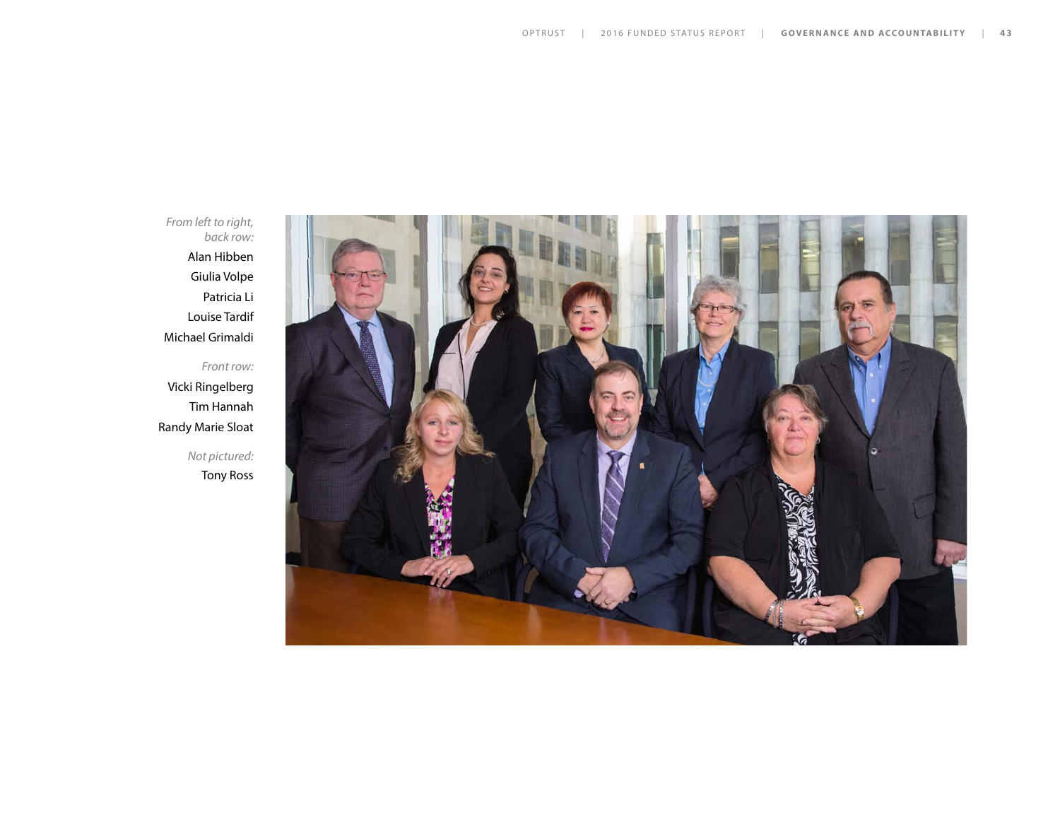*From left to right, back row:*  Alan Hibben Giulia Volpe Patricia Li Louise Tardif Michael Grimaldi

*Front row:*  Vicki Ringelberg Tim Hannah Randy Marie Sloat

> *Not pictured:* Tony Ross